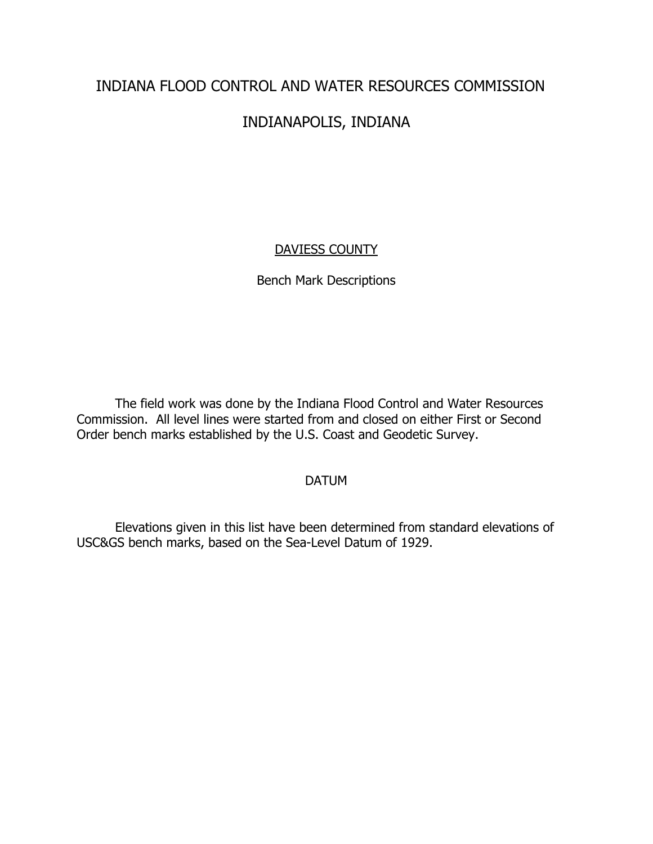# INDIANA FLOOD CONTROL AND WATER RESOURCES COMMISSION

# INDIANAPOLIS, INDIANA

# DAVIESS COUNTY

# Bench Mark Descriptions

The field work was done by the Indiana Flood Control and Water Resources Commission. All level lines were started from and closed on either First or Second Order bench marks established by the U.S. Coast and Geodetic Survey.

# DATUM

Elevations given in this list have been determined from standard elevations of USC&GS bench marks, based on the Sea-Level Datum of 1929.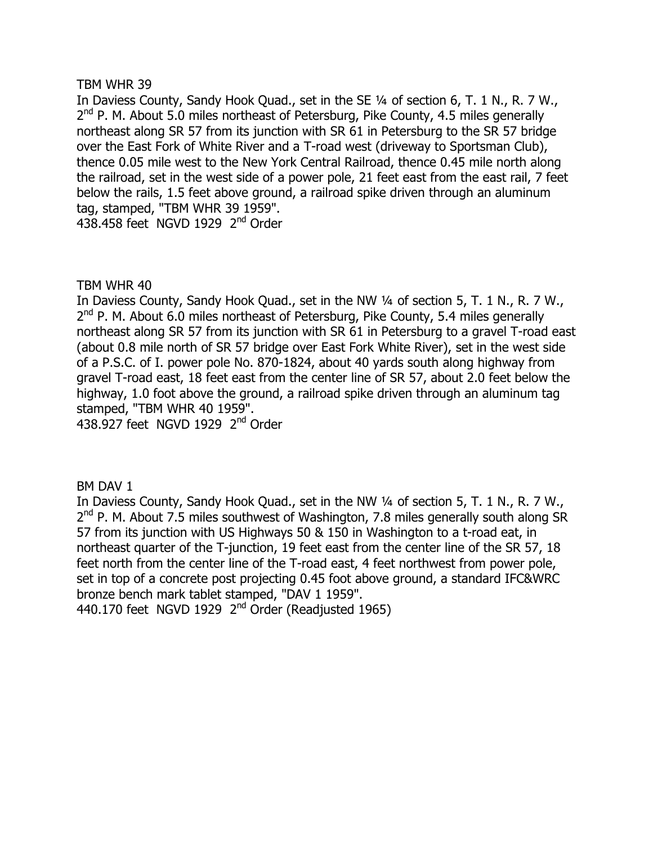In Daviess County, Sandy Hook Quad., set in the SE 1/4 of section 6, T. 1 N., R. 7 W.,  $2<sup>nd</sup>$  P. M. About 5.0 miles northeast of Petersburg, Pike County, 4.5 miles generally northeast along SR 57 from its junction with SR 61 in Petersburg to the SR 57 bridge over the East Fork of White River and a T-road west (driveway to Sportsman Club), thence 0.05 mile west to the New York Central Railroad, thence 0.45 mile north along the railroad, set in the west side of a power pole, 21 feet east from the east rail, 7 feet below the rails, 1.5 feet above ground, a railroad spike driven through an aluminum tag, stamped, "TBM WHR 39 1959". 438.458 feet NGVD 1929 2<sup>nd</sup> Order

# TBM WHR 40

In Daviess County, Sandy Hook Quad., set in the NW 1/4 of section 5, T. 1 N., R. 7 W.,  $2<sup>nd</sup>$  P. M. About 6.0 miles northeast of Petersburg, Pike County, 5.4 miles generally northeast along SR 57 from its junction with SR 61 in Petersburg to a gravel T-road east (about 0.8 mile north of SR 57 bridge over East Fork White River), set in the west side of a P.S.C. of I. power pole No. 870-1824, about 40 yards south along highway from gravel T-road east, 18 feet east from the center line of SR 57, about 2.0 feet below the highway, 1.0 foot above the ground, a railroad spike driven through an aluminum tag stamped, "TBM WHR 40 1959".

438.927 feet NGVD 1929  $2<sup>nd</sup>$  Order

BM DAV 1

In Daviess County, Sandy Hook Quad., set in the NW 1/4 of section 5, T. 1 N., R. 7 W., 2<sup>nd</sup> P. M. About 7.5 miles southwest of Washington, 7.8 miles generally south along SR 57 from its junction with US Highways 50 & 150 in Washington to a t-road eat, in northeast quarter of the T-junction, 19 feet east from the center line of the SR 57, 18 feet north from the center line of the T-road east, 4 feet northwest from power pole, set in top of a concrete post projecting 0.45 foot above ground, a standard IFC&WRC bronze bench mark tablet stamped, "DAV 1 1959".

440.170 feet NGVD 1929  $2<sup>nd</sup>$  Order (Readjusted 1965)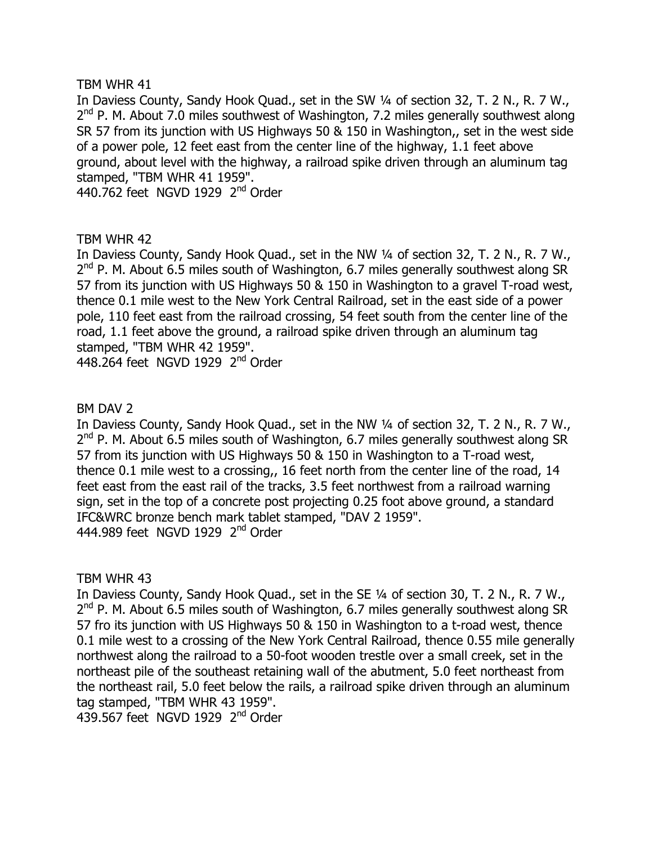In Daviess County, Sandy Hook Quad., set in the SW 1/4 of section 32, T. 2 N., R. 7 W., 2<sup>nd</sup> P. M. About 7.0 miles southwest of Washington, 7.2 miles generally southwest along SR 57 from its junction with US Highways 50 & 150 in Washington,, set in the west side of a power pole, 12 feet east from the center line of the highway, 1.1 feet above ground, about level with the highway, a railroad spike driven through an aluminum tag stamped, "TBM WHR 41 1959".

440.762 feet NGVD 1929 2<sup>nd</sup> Order

# TBM WHR 42

In Daviess County, Sandy Hook Quad., set in the NW 1/4 of section 32, T. 2 N., R. 7 W.,  $2<sup>nd</sup>$  P. M. About 6.5 miles south of Washington, 6.7 miles generally southwest along SR 57 from its junction with US Highways 50 & 150 in Washington to a gravel T-road west, thence 0.1 mile west to the New York Central Railroad, set in the east side of a power pole, 110 feet east from the railroad crossing, 54 feet south from the center line of the road, 1.1 feet above the ground, a railroad spike driven through an aluminum tag stamped, "TBM WHR 42 1959".

448.264 feet NGVD 1929  $2<sup>nd</sup>$  Order

# BM DAV 2

In Daviess County, Sandy Hook Quad., set in the NW 1/4 of section 32, T. 2 N., R. 7 W.,  $2<sup>nd</sup>$  P. M. About 6.5 miles south of Washington, 6.7 miles generally southwest along SR 57 from its junction with US Highways 50 & 150 in Washington to a T-road west, thence 0.1 mile west to a crossing,, 16 feet north from the center line of the road, 14 feet east from the east rail of the tracks, 3.5 feet northwest from a railroad warning sign, set in the top of a concrete post projecting 0.25 foot above ground, a standard IFC&WRC bronze bench mark tablet stamped, "DAV 2 1959". 444.989 feet NGVD 1929 2<sup>nd</sup> Order

TBM WHR 43

In Daviess County, Sandy Hook Quad., set in the SE 1/4 of section 30, T. 2 N., R. 7 W.,  $2<sup>nd</sup>$  P. M. About 6.5 miles south of Washington, 6.7 miles generally southwest along SR 57 fro its junction with US Highways 50  $\&$  150 in Washington to a t-road west, thence 0.1 mile west to a crossing of the New York Central Railroad, thence 0.55 mile generally northwest along the railroad to a 50-foot wooden trestle over a small creek, set in the northeast pile of the southeast retaining wall of the abutment, 5.0 feet northeast from the northeast rail, 5.0 feet below the rails, a railroad spike driven through an aluminum tag stamped, "TBM WHR 43 1959".

 $439.567$  feet NGVD 1929  $2<sup>nd</sup>$  Order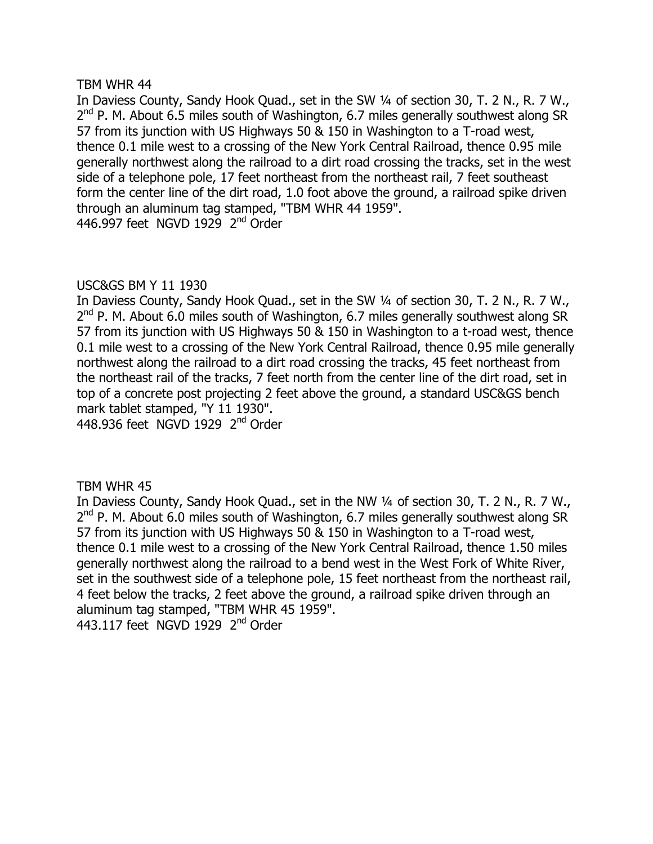In Daviess County, Sandy Hook Quad., set in the SW 1/4 of section 30, T. 2 N., R. 7 W.,  $2<sup>nd</sup>$  P. M. About 6.5 miles south of Washington, 6.7 miles generally southwest along SR 57 from its junction with US Highways 50 & 150 in Washington to a T-road west, thence 0.1 mile west to a crossing of the New York Central Railroad, thence 0.95 mile generally northwest along the railroad to a dirt road crossing the tracks, set in the west side of a telephone pole, 17 feet northeast from the northeast rail, 7 feet southeast form the center line of the dirt road, 1.0 foot above the ground, a railroad spike driven through an aluminum tag stamped, "TBM WHR 44 1959". 446.997 feet NGVD 1929  $2<sup>nd</sup>$  Order

# USC&GS BM Y 11 1930

In Daviess County, Sandy Hook Quad., set in the SW 1/4 of section 30, T. 2 N., R. 7 W.,  $2<sup>nd</sup>$  P. M. About 6.0 miles south of Washington, 6.7 miles generally southwest along SR 57 from its junction with US Highways 50  $\&$  150 in Washington to a t-road west, thence 0.1 mile west to a crossing of the New York Central Railroad, thence 0.95 mile generally northwest along the railroad to a dirt road crossing the tracks, 45 feet northeast from the northeast rail of the tracks, 7 feet north from the center line of the dirt road, set in top of a concrete post projecting 2 feet above the ground, a standard USC&GS bench mark tablet stamped, "Y 11 1930".

448.936 feet NGVD 1929 2<sup>nd</sup> Order

TBM WHR 45

In Daviess County, Sandy Hook Quad., set in the NW 1/4 of section 30, T. 2 N., R. 7 W.,  $2<sup>nd</sup>$  P. M. About 6.0 miles south of Washington, 6.7 miles generally southwest along SR 57 from its junction with US Highways 50 & 150 in Washington to a T-road west, thence 0.1 mile west to a crossing of the New York Central Railroad, thence 1.50 miles generally northwest along the railroad to a bend west in the West Fork of White River, set in the southwest side of a telephone pole, 15 feet northeast from the northeast rail, 4 feet below the tracks, 2 feet above the ground, a railroad spike driven through an aluminum tag stamped, "TBM WHR 45 1959". 443.117 feet NGVD 1929 2<sup>nd</sup> Order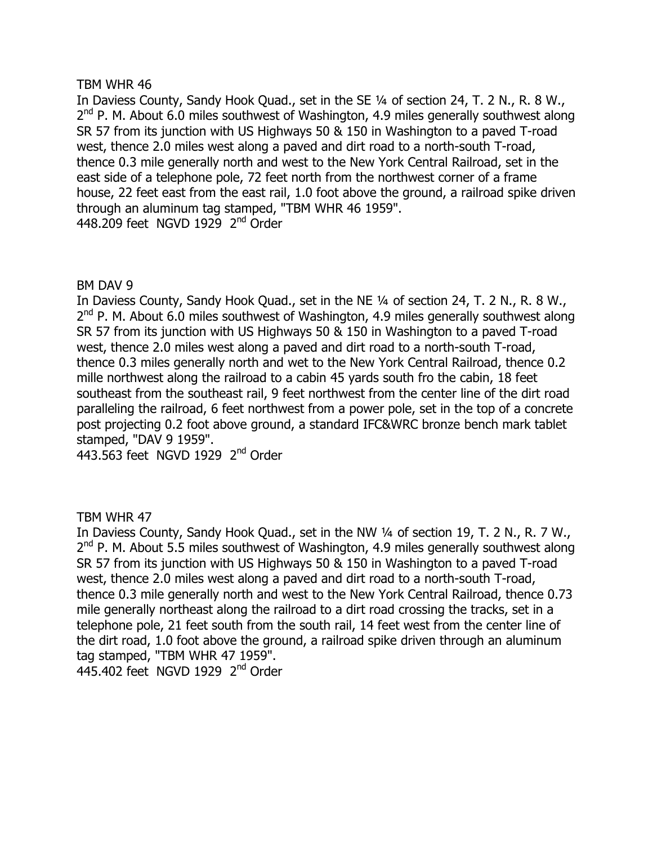In Daviess County, Sandy Hook Quad., set in the SE 1/4 of section 24, T. 2 N., R. 8 W.,  $2<sup>nd</sup>$  P. M. About 6.0 miles southwest of Washington, 4.9 miles generally southwest along SR 57 from its junction with US Highways 50 & 150 in Washington to a payed T-road west, thence 2.0 miles west along a paved and dirt road to a north-south T-road, thence 0.3 mile generally north and west to the New York Central Railroad, set in the east side of a telephone pole, 72 feet north from the northwest corner of a frame house, 22 feet east from the east rail, 1.0 foot above the ground, a railroad spike driven through an aluminum tag stamped, "TBM WHR 46 1959".  $448.209$  feet NGVD 1929  $2<sup>nd</sup>$  Order

# BM DAV 9

In Daviess County, Sandy Hook Quad., set in the NE 1/4 of section 24, T. 2 N., R. 8 W.,  $2<sup>nd</sup>$  P. M. About 6.0 miles southwest of Washington, 4.9 miles generally southwest along SR 57 from its junction with US Highways 50 & 150 in Washington to a paved T-road west, thence 2.0 miles west along a paved and dirt road to a north-south T-road, thence 0.3 miles generally north and wet to the New York Central Railroad, thence 0.2 mille northwest along the railroad to a cabin 45 yards south fro the cabin, 18 feet southeast from the southeast rail, 9 feet northwest from the center line of the dirt road paralleling the railroad, 6 feet northwest from a power pole, set in the top of a concrete post projecting 0.2 foot above ground, a standard IFC&WRC bronze bench mark tablet stamped, "DAV 9 1959".

443.563 feet NGVD 1929 2<sup>nd</sup> Order

# TBM WHR 47

In Daviess County, Sandy Hook Quad., set in the NW 1/4 of section 19, T. 2 N., R. 7 W.,  $2<sup>nd</sup>$  P. M. About 5.5 miles southwest of Washington, 4.9 miles generally southwest along SR 57 from its junction with US Highways 50 & 150 in Washington to a paved T-road west, thence 2.0 miles west along a paved and dirt road to a north-south T-road, thence 0.3 mile generally north and west to the New York Central Railroad, thence 0.73 mile generally northeast along the railroad to a dirt road crossing the tracks, set in a telephone pole, 21 feet south from the south rail, 14 feet west from the center line of the dirt road, 1.0 foot above the ground, a railroad spike driven through an aluminum tag stamped, "TBM WHR 47 1959".

 $445.402$  feet NGVD 1929  $2<sup>nd</sup>$  Order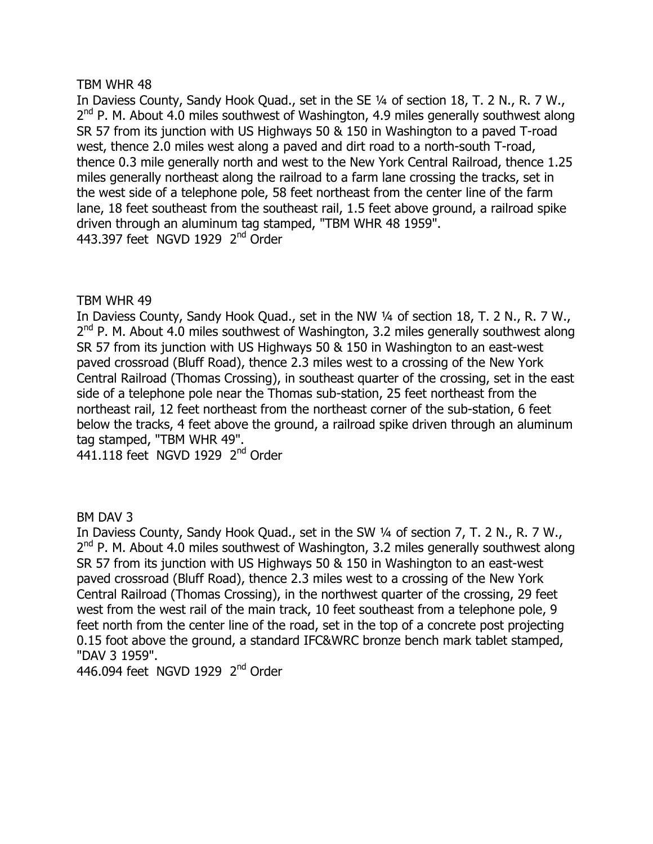In Daviess County, Sandy Hook Quad., set in the SE 1/4 of section 18, T. 2 N., R. 7 W.,  $2<sup>nd</sup>$  P. M. About 4.0 miles southwest of Washington, 4.9 miles generally southwest along SR 57 from its junction with US Highways 50 & 150 in Washington to a payed T-road west, thence 2.0 miles west along a paved and dirt road to a north-south T-road, thence 0.3 mile generally north and west to the New York Central Railroad, thence 1.25 miles generally northeast along the railroad to a farm lane crossing the tracks, set in the west side of a telephone pole, 58 feet northeast from the center line of the farm lane, 18 feet southeast from the southeast rail, 1.5 feet above ground, a railroad spike driven through an aluminum tag stamped, "TBM WHR 48 1959". 443.397 feet NGVD 1929  $2<sup>nd</sup>$  Order

# TBM WHR 49

In Daviess County, Sandy Hook Quad., set in the NW 1/4 of section 18, T. 2 N., R. 7 W.,  $2<sup>nd</sup>$  P. M. About 4.0 miles southwest of Washington, 3.2 miles generally southwest along SR 57 from its junction with US Highways 50 & 150 in Washington to an east-west paved crossroad (Bluff Road), thence 2.3 miles west to a crossing of the New York Central Railroad (Thomas Crossing), in southeast quarter of the crossing, set in the east side of a telephone pole near the Thomas sub-station, 25 feet northeast from the northeast rail, 12 feet northeast from the northeast corner of the sub-station, 6 feet below the tracks, 4 feet above the ground, a railroad spike driven through an aluminum tag stamped, "TBM WHR 49".

 $441.118$  feet NGVD 1929  $2<sup>nd</sup>$  Order

# **BM DAV 3**

In Daviess County, Sandy Hook Quad., set in the SW 1/4 of section 7, T. 2 N., R. 7 W.,  $2<sup>nd</sup>$  P. M. About 4.0 miles southwest of Washington, 3.2 miles generally southwest along SR 57 from its junction with US Highways 50 & 150 in Washington to an east-west paved crossroad (Bluff Road), thence 2.3 miles west to a crossing of the New York Central Railroad (Thomas Crossing), in the northwest quarter of the crossing, 29 feet west from the west rail of the main track, 10 feet southeast from a telephone pole, 9 feet north from the center line of the road, set in the top of a concrete post projecting 0.15 foot above the ground, a standard IFC&WRC bronze bench mark tablet stamped, "DAV 3 1959".

446.094 feet NGVD 1929 2<sup>nd</sup> Order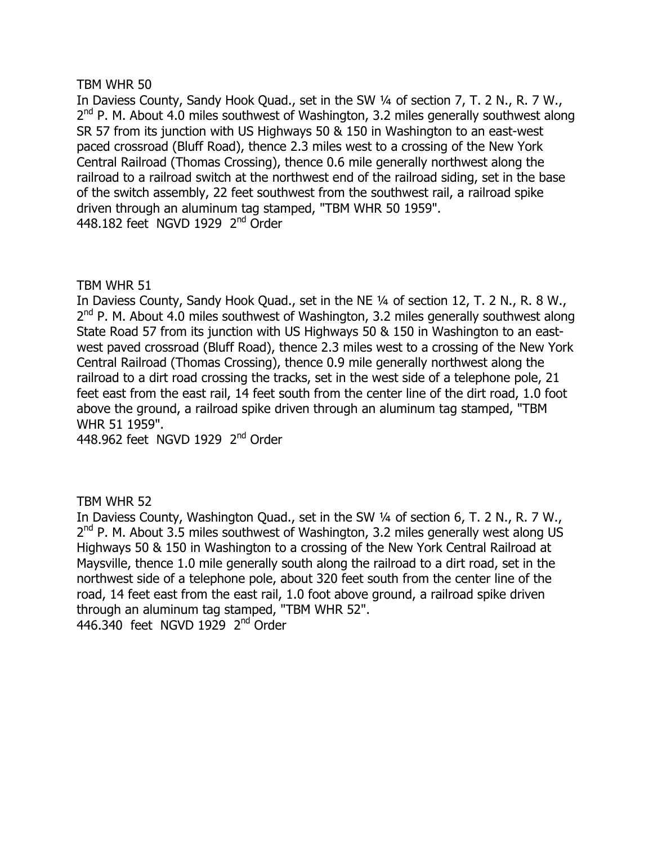In Daviess County, Sandy Hook Quad., set in the SW 1/4 of section 7, T. 2 N., R. 7 W.,  $2<sup>nd</sup>$  P. M. About 4.0 miles southwest of Washington, 3.2 miles generally southwest along SR 57 from its junction with US Highways 50 & 150 in Washington to an east-west paced crossroad (Bluff Road), thence 2.3 miles west to a crossing of the New York Central Railroad (Thomas Crossing), thence 0.6 mile generally northwest along the railroad to a railroad switch at the northwest end of the railroad siding, set in the base of the switch assembly, 22 feet southwest from the southwest rail, a railroad spike driven through an aluminum tag stamped, "TBM WHR 50 1959". 448.182 feet NGVD 1929  $2<sup>nd</sup>$  Order

# TBM WHR 51

In Daviess County, Sandy Hook Quad., set in the NE 1/4 of section 12, T. 2 N., R. 8 W.,  $2<sup>nd</sup>$  P. M. About 4.0 miles southwest of Washington, 3.2 miles generally southwest along State Road 57 from its junction with US Highways 50 & 150 in Washington to an eastwest paved crossroad (Bluff Road), thence 2.3 miles west to a crossing of the New York Central Railroad (Thomas Crossing), thence 0.9 mile generally northwest along the railroad to a dirt road crossing the tracks, set in the west side of a telephone pole, 21 feet east from the east rail, 14 feet south from the center line of the dirt road, 1.0 foot above the ground, a railroad spike driven through an aluminum tag stamped, "TBM WHR 51 1959".

448.962 feet NGVD 1929 2<sup>nd</sup> Order

# TBM WHR 52

In Daviess County, Washington Quad., set in the SW 1/4 of section 6, T. 2 N., R. 7 W.,  $2<sup>nd</sup>$  P. M. About 3.5 miles southwest of Washington, 3.2 miles generally west along US Highways 50 & 150 in Washington to a crossing of the New York Central Railroad at Maysville, thence 1.0 mile generally south along the railroad to a dirt road, set in the northwest side of a telephone pole, about 320 feet south from the center line of the road, 14 feet east from the east rail, 1.0 foot above ground, a railroad spike driven through an aluminum tag stamped, "TBM WHR 52". 446.340 feet NGVD  $1929$   $2<sup>nd</sup>$  Order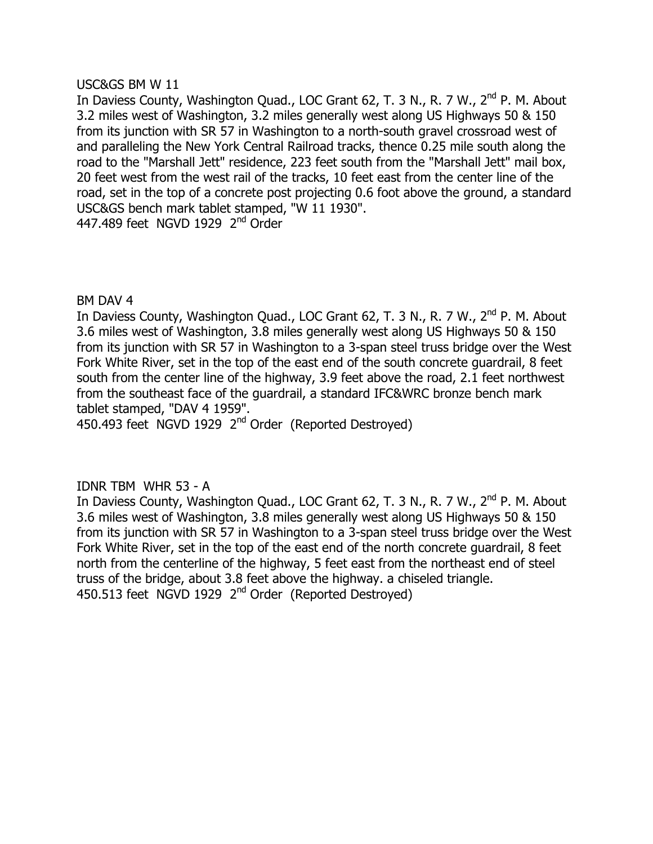#### USC&GS BM W 11

In Daviess County, Washington Quad., LOC Grant 62, T. 3 N., R. 7 W., 2<sup>nd</sup> P. M. About 3.2 miles west of Washington, 3.2 miles generally west along US Highways 50 & 150 from its junction with SR 57 in Washington to a north-south gravel crossroad west of and paralleling the New York Central Railroad tracks, thence 0.25 mile south along the road to the "Marshall Jett" residence, 223 feet south from the "Marshall Jett" mail box, 20 feet west from the west rail of the tracks, 10 feet east from the center line of the road, set in the top of a concrete post projecting 0.6 foot above the ground, a standard USC&GS bench mark tablet stamped, "W 11 1930". 447.489 feet NGVD 1929 2<sup>nd</sup> Order

#### BM DAV 4

In Daviess County, Washington Quad., LOC Grant 62, T. 3 N., R. 7 W., 2<sup>nd</sup> P. M. About 3.6 miles west of Washington, 3.8 miles generally west along US Highways 50 & 150 from its junction with SR 57 in Washington to a 3-span steel truss bridge over the West Fork White River, set in the top of the east end of the south concrete guardrail, 8 feet south from the center line of the highway, 3.9 feet above the road, 2.1 feet northwest from the southeast face of the quardrail, a standard IFC&WRC bronze bench mark tablet stamped, "DAV 4 1959".

450.493 feet NGVD 1929 2<sup>nd</sup> Order (Reported Destroyed)

# $IDNR$  TBM WHR 53 - A

In Daviess County, Washington Quad., LOC Grant 62, T. 3 N., R. 7 W., 2<sup>nd</sup> P. M. About 3.6 miles west of Washington, 3.8 miles generally west along US Highways 50 & 150 from its junction with SR 57 in Washington to a 3-span steel truss bridge over the West Fork White River, set in the top of the east end of the north concrete quardrail, 8 feet north from the centerline of the highway, 5 feet east from the northeast end of steel truss of the bridge, about 3.8 feet above the highway. a chiseled triangle. 450.513 feet NGVD 1929 2<sup>nd</sup> Order (Reported Destroyed)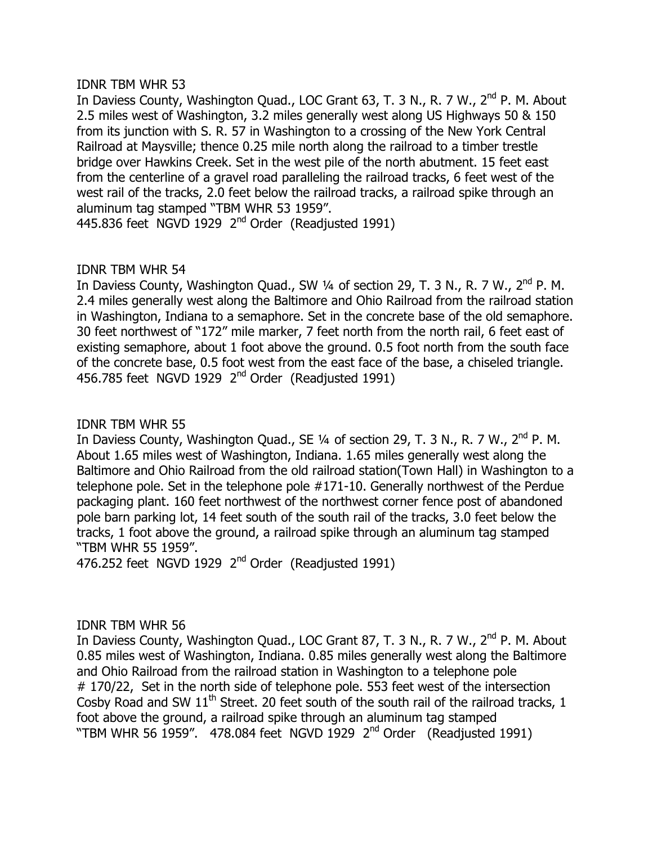#### **IDNR TBM WHR 53**

In Daviess County, Washington Quad., LOC Grant 63, T. 3 N., R. 7 W., 2<sup>nd</sup> P. M. About 2.5 miles west of Washington, 3.2 miles generally west along US Highways 50 & 150 from its junction with S, R, 57 in Washington to a crossing of the New York Central Railroad at Maysville; thence 0.25 mile north along the railroad to a timber trestle bridge over Hawkins Creek. Set in the west pile of the north abutment. 15 feet east from the centerline of a gravel road paralleling the railroad tracks, 6 feet west of the west rail of the tracks, 2.0 feet below the railroad tracks, a railroad spike through an aluminum tag stamped "TBM WHR 53 1959".

445.836 feet  $NGVD$  1929  $2<sup>nd</sup>$  Order (Readjusted 1991)

# IDNR TBM WHR 54

In Daviess County, Washington Quad., SW  $\frac{1}{4}$  of section 29, T. 3 N., R. 7 W.,  $2^{nd}$  P. M. 2.4 miles generally west along the Baltimore and Ohio Railroad from the railroad station in Washington, Indiana to a semaphore. Set in the concrete base of the old semaphore. 30 feet northwest of "172" mile marker, 7 feet north from the north rail, 6 feet east of existing semaphore, about 1 foot above the ground. 0.5 foot north from the south face of the concrete base, 0.5 foot west from the east face of the base, a chiseled triangle. 456.785 feet NGVD 1929  $2<sup>nd</sup>$  Order (Readjusted 1991)

# IDNR TBM WHR 55

In Daviess County, Washington Quad., SE 1/4 of section 29, T. 3 N., R. 7 W., 2<sup>nd</sup> P. M. About 1.65 miles west of Washington, Indiana. 1.65 miles generally west along the Baltimore and Ohio Railroad from the old railroad station (Town Hall) in Washington to a telephone pole. Set in the telephone pole  $#171-10$ . Generally northwest of the Perdue packaging plant. 160 feet northwest of the northwest corner fence post of abandoned pole barn parking lot, 14 feet south of the south rail of the tracks, 3.0 feet below the tracks, 1 foot above the ground, a railroad spike through an aluminum tag stamped "TBM WHR 55 1959".

476.252 feet NGVD 1929  $2<sup>nd</sup>$  Order (Readjusted 1991)

# **IDNR TBM WHR 56**

In Daviess County, Washington Quad., LOC Grant 87, T. 3 N., R. 7 W., 2<sup>nd</sup> P. M. About 0.85 miles west of Washington, Indiana. 0.85 miles generally west along the Baltimore and Ohio Railroad from the railroad station in Washington to a telephone pole  $# 170/22$ , Set in the north side of telephone pole. 553 feet west of the intersection Cosby Road and SW  $11<sup>th</sup>$  Street. 20 feet south of the south rail of the railroad tracks, 1 foot above the ground, a railroad spike through an aluminum tag stamped "TBM WHR 56 1959". 478.084 feet NGVD 1929  $2<sup>nd</sup>$  Order (Readjusted 1991)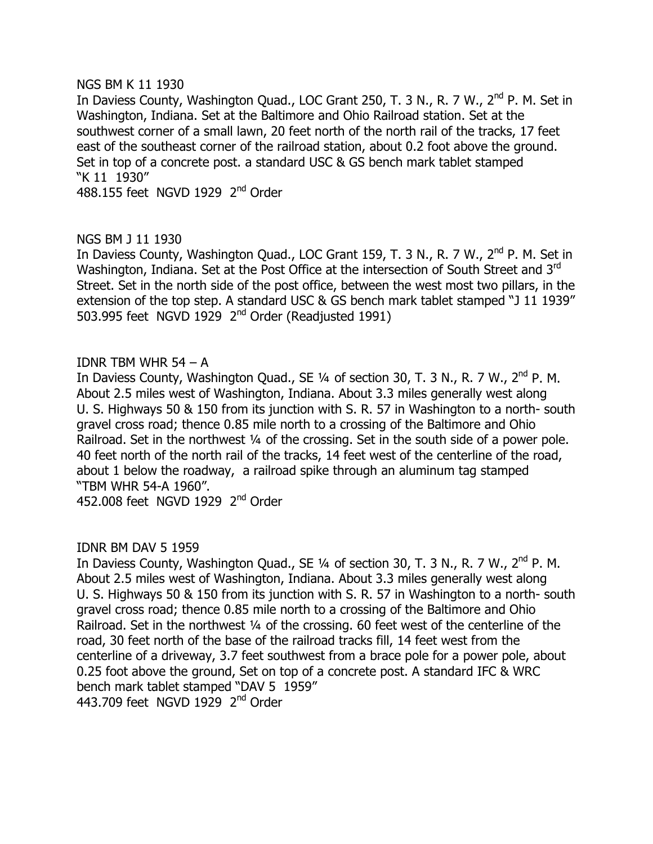#### NGS BM K 11 1930

In Daviess County, Washington Quad., LOC Grant 250, T. 3 N., R. 7 W.,  $2^{nd}$  P. M. Set in Washington, Indiana. Set at the Baltimore and Ohio Railroad station. Set at the southwest corner of a small lawn, 20 feet north of the north rail of the tracks, 17 feet east of the southeast corner of the railroad station, about 0.2 foot above the ground. Set in top of a concrete post. a standard USC & GS bench mark tablet stamped "K 11 1930"

488.155 feet NGVD 1929  $2<sup>nd</sup>$  Order

# NGS BM J 11 1930

In Daviess County, Washington Quad., LOC Grant 159, T. 3 N., R. 7 W., 2<sup>nd</sup> P. M. Set in Washington, Indiana. Set at the Post Office at the intersection of South Street and 3<sup>rd</sup> Street. Set in the north side of the post office, between the west most two pillars, in the extension of the top step. A standard USC & GS bench mark tablet stamped "J 11 1939" 503.995 feet NGVD 1929  $2<sup>nd</sup>$  Order (Readjusted 1991)

#### IDNR TBM WHR  $54 - A$

In Daviess County, Washington Quad., SE 1/4 of section 30, T. 3 N., R. 7 W., 2<sup>nd</sup> P. M. About 2.5 miles west of Washington, Indiana. About 3.3 miles generally west along U. S. Highways 50 & 150 from its junction with S. R. 57 in Washington to a north-south gravel cross road; thence 0.85 mile north to a crossing of the Baltimore and Ohio Railroad. Set in the northwest 1/4 of the crossing. Set in the south side of a power pole. 40 feet north of the north rail of the tracks, 14 feet west of the centerline of the road, about 1 below the roadway, a railroad spike through an aluminum tag stamped "TBM WHR 54-A 1960".

452,008 feet NGVD 1929  $2<sup>nd</sup>$  Order

# IDNR BM DAV 5 1959

In Daviess County, Washington Quad., SE  $\frac{1}{4}$  of section 30, T. 3 N., R. 7 W.,  $2^{nd}$  P. M. About 2.5 miles west of Washington, Indiana. About 3.3 miles generally west along U. S. Highways 50 & 150 from its junction with S. R. 57 in Washington to a north-south gravel cross road; thence 0.85 mile north to a crossing of the Baltimore and Ohio Railroad. Set in the northwest 1/4 of the crossing. 60 feet west of the centerline of the road, 30 feet north of the base of the railroad tracks fill, 14 feet west from the centerline of a driveway, 3.7 feet southwest from a brace pole for a power pole, about 0.25 foot above the ground, Set on top of a concrete post. A standard IFC & WRC bench mark tablet stamped "DAV 5 1959" 443.709 feet NGVD 1929 2<sup>nd</sup> Order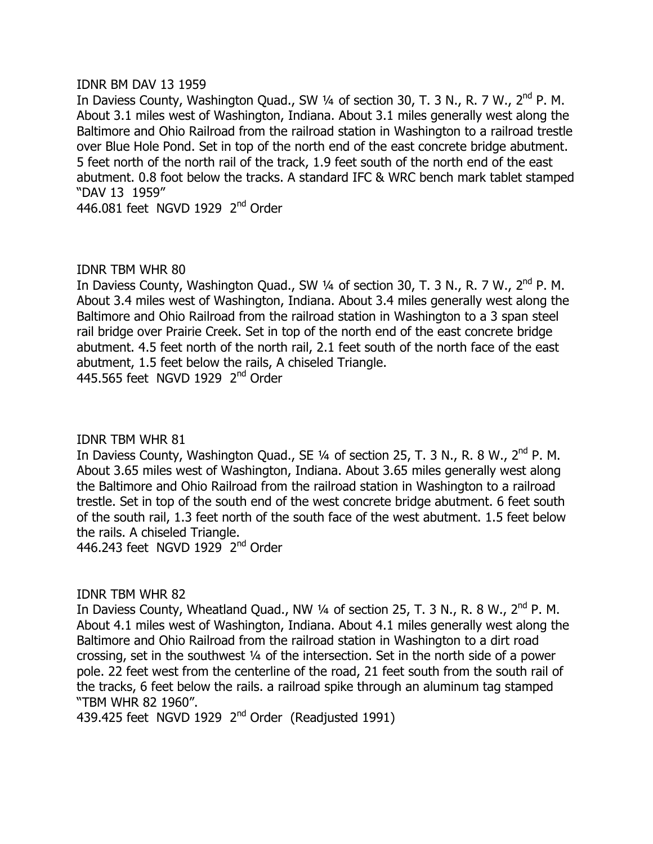#### IDNR BM DAV 13 1959

In Daviess County, Washington Quad., SW  $\frac{1}{4}$  of section 30, T. 3 N., R. 7 W.,  $2^{nd}$  P. M. About 3.1 miles west of Washington, Indiana. About 3.1 miles generally west along the Baltimore and Ohio Railroad from the railroad station in Washington to a railroad trestle over Blue Hole Pond. Set in top of the north end of the east concrete bridge abutment. 5 feet north of the north rail of the track, 1.9 feet south of the north end of the east abutment. 0.8 foot below the tracks. A standard IFC & WRC bench mark tablet stamped "DAV 13 1959"

446.081 feet NGVD 1929  $2<sup>nd</sup>$  Order

# IDNR TBM WHR 80

In Daviess County, Washington Quad., SW  $\frac{1}{4}$  of section 30, T. 3 N., R. 7 W.,  $2^{nd}$  P. M. About 3.4 miles west of Washington, Indiana. About 3.4 miles generally west along the Baltimore and Ohio Railroad from the railroad station in Washington to a 3 span steel rail bridge over Prairie Creek. Set in top of the north end of the east concrete bridge abutment. 4.5 feet north of the north rail, 2.1 feet south of the north face of the east abutment, 1.5 feet below the rails, A chiseled Triangle. 445.565 feet NGVD 1929 2<sup>nd</sup> Order

# **IDNR TBM WHR 81**

In Daviess County, Washington Quad., SE 1/4 of section 25, T. 3 N., R. 8 W., 2<sup>nd</sup> P. M. About 3.65 miles west of Washington, Indiana. About 3.65 miles generally west along the Baltimore and Ohio Railroad from the railroad station in Washington to a railroad trestle. Set in top of the south end of the west concrete bridge abutment. 6 feet south of the south rail, 1.3 feet north of the south face of the west abutment. 1.5 feet below the rails. A chiseled Triangle.

446.243 feet NGVD 1929  $2<sup>nd</sup>$  Order

# **IDNR TBM WHR 82**

In Daviess County, Wheatland Quad., NW  $\frac{1}{4}$  of section 25, T. 3 N., R. 8 W.,  $2^{nd}$  P. M. About 4.1 miles west of Washington, Indiana. About 4.1 miles generally west along the Baltimore and Ohio Railroad from the railroad station in Washington to a dirt road crossing, set in the southwest  $\frac{1}{4}$  of the intersection. Set in the north side of a power pole. 22 feet west from the centerline of the road, 21 feet south from the south rail of the tracks, 6 feet below the rails. a railroad spike through an aluminum tag stamped "TBM WHR 82 1960".

439.425 feet NGVD 1929  $2<sup>nd</sup>$  Order (Readjusted 1991)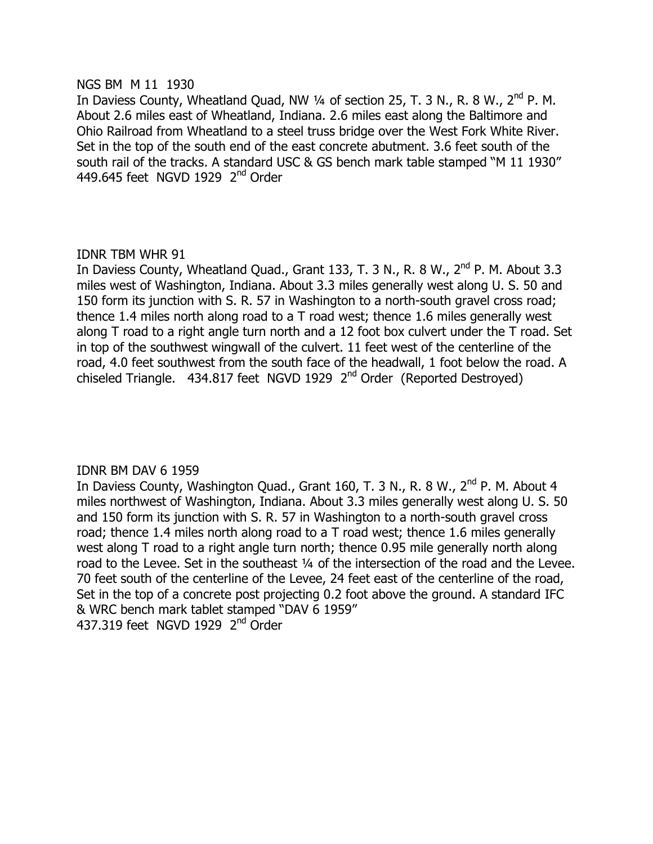#### NGS BM M 11 1930

In Daviess County, Wheatland Quad, NW  $\frac{1}{4}$  of section 25, T. 3 N., R. 8 W., 2<sup>nd</sup> P. M. About 2.6 miles east of Wheatland, Indiana. 2.6 miles east along the Baltimore and Ohio Railroad from Wheatland to a steel truss bridge over the West Fork White River. Set in the top of the south end of the east concrete abutment. 3.6 feet south of the south rail of the tracks. A standard USC & GS bench mark table stamped "M 11 1930" 449.645 feet NGVD 1929  $2<sup>nd</sup>$  Order

#### IDNR TBM WHR 91

In Daviess County, Wheatland Quad., Grant 133, T. 3 N., R. 8 W., 2<sup>nd</sup> P. M. About 3.3 miles west of Washington, Indiana. About 3.3 miles generally west along U. S. 50 and 150 form its junction with S. R. 57 in Washington to a north-south gravel cross road; thence 1.4 miles north along road to a  $T$  road west; thence 1.6 miles generally west along  $T$  road to a right angle turn north and a 12 foot box culvert under the  $T$  road. Set in top of the southwest wingwall of the culvert. 11 feet west of the centerline of the road, 4.0 feet southwest from the south face of the headwall, 1 foot below the road. A chiseled Triangle. 434.817 feet NGVD 1929  $2<sup>nd</sup>$  Order (Reported Destroyed)

# IDNR BM DAV 6 1959

In Daviess County, Washington Quad., Grant 160, T. 3 N., R. 8 W., 2<sup>nd</sup> P. M. About 4 miles northwest of Washington, Indiana. About 3.3 miles generally west along U. S. 50 and 150 form its junction with S. R. 57 in Washington to a north-south gravel cross road; thence 1.4 miles north along road to a  $T$  road west; thence 1.6 miles generally west along T road to a right angle turn north; thence 0.95 mile generally north along road to the Levee. Set in the southeast 1/4 of the intersection of the road and the Levee. 70 feet south of the centerline of the Levee, 24 feet east of the centerline of the road, Set in the top of a concrete post projecting 0.2 foot above the ground. A standard IFC & WRC bench mark tablet stamped "DAV 6 1959" 437.319 feet NGVD 1929 2<sup>nd</sup> Order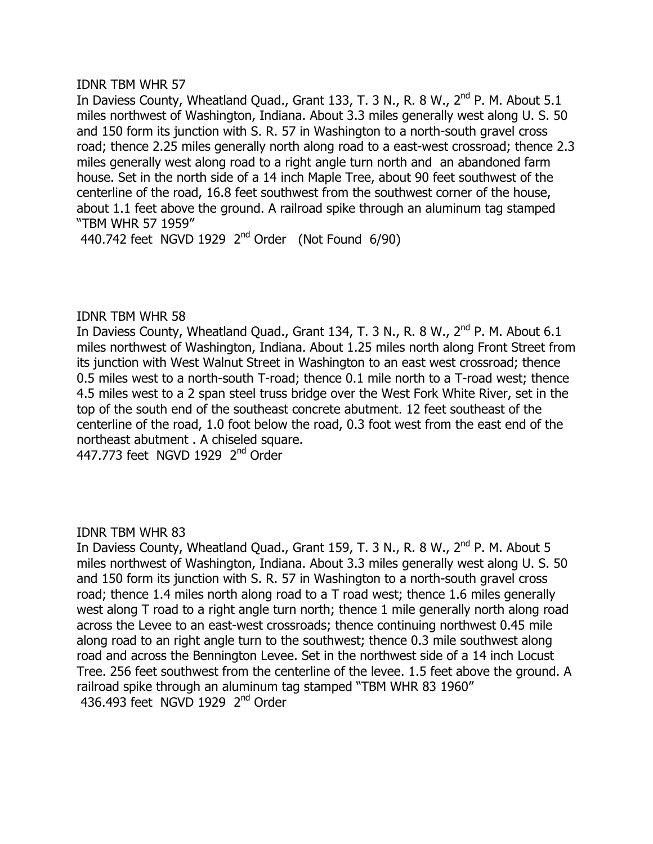#### **IDNR TBM WHR 57**

In Daviess County, Wheatland Quad., Grant 133, T. 3 N., R. 8 W., 2<sup>nd</sup> P. M. About 5.1 miles northwest of Washington, Indiana. About 3.3 miles generally west along U. S. 50 and 150 form its junction with S, R, 57 in Washington to a north-south gravel cross road; thence 2.25 miles generally north along road to a east-west crossroad; thence 2.3 miles generally west along road to a right angle turn north and an abandoned farm house. Set in the north side of a 14 inch Maple Tree, about 90 feet southwest of the centerline of the road, 16.8 feet southwest from the southwest corner of the house, about 1.1 feet above the ground. A railroad spike through an aluminum tag stamped "TBM WHR 57 1959"

440.742 feet NGVD 1929  $2<sup>nd</sup>$  Order (Not Found 6/90)

# **IDNR TBM WHR 58**

ID MATHET IN HIS COUNTY, Wheatland Quad., Grant 134, T. 3 N., R. 8 W., 2<sup>nd</sup> P. M. About 6.1 miles northwest of Washington, Indiana. About 1.25 miles north along Front Street from  $i$ ts junction with West Walnut Street in Washington to an east west crossroad; thence 0.5 miles west to a north-south T-road; thence 0.1 mile north to a T-road west; thence 4.5 miles west to a 2 span steel truss bridge over the West Fork White River, set in the top of the south end of the southeast concrete abutment. 12 feet southeast of the centerline of the road, 1.0 foot below the road, 0.3 foot west from the east end of the northeast abutment . A chiseled square.

447.773 feet NGVD 1929 2<sup>nd</sup> Order

# **IDNR TBM WHR 83**

In Daviess County, Wheatland Quad., Grant 159, T. 3 N., R. 8 W., 2<sup>nd</sup> P. M. About 5 miles northwest of Washington, Indiana. About 3.3 miles generally west along U. S. 50 and 150 form its junction with S. R. 57 in Washington to a north-south gravel cross road; thence 1.4 miles north along road to a  $T$  road west; thence 1.6 miles generally west along T road to a right angle turn north; thence 1 mile generally north along road across the Levee to an east-west crossroads; thence continuing northwest 0.45 mile along road to an right angle turn to the southwest; thence 0.3 mile southwest along road and across the Bennington Levee. Set in the northwest side of a 14 inch Locust Tree. 256 feet southwest from the centerline of the levee. 1.5 feet above the ground. A railroad spike through an aluminum tag stamped "TBM WHR 83 1960" 436.493 feet NGVD 1929 2<sup>nd</sup> Order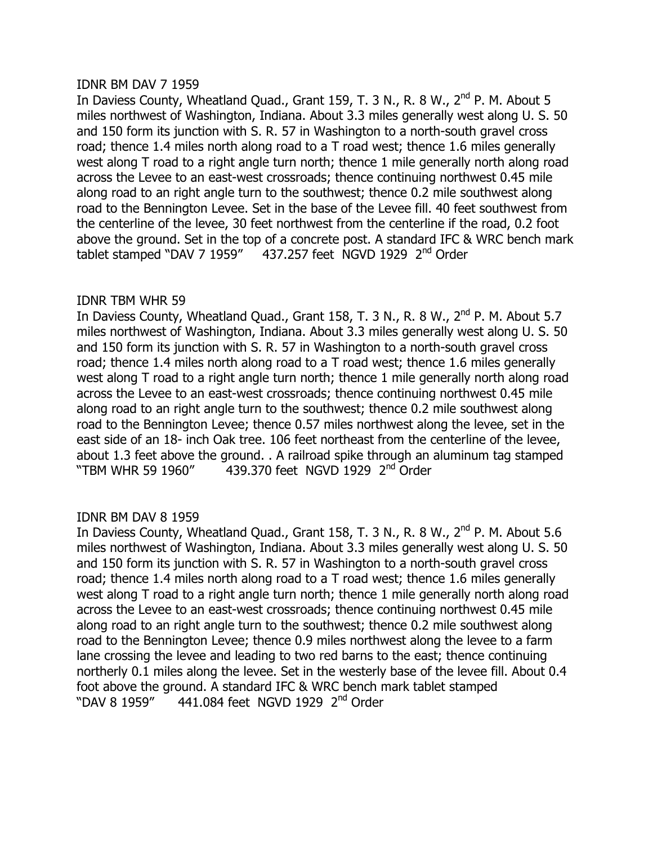#### IDNR BM DAV 7 1959

In Daviess County, Wheatland Quad., Grant 159, T. 3 N., R. 8 W., 2<sup>nd</sup> P. M. About 5 miles northwest of Washington, Indiana. About 3.3 miles generally west along U. S. 50 and 150 form its junction with S, R, 57 in Washington to a north-south gravel cross road; thence 1.4 miles north along road to a  $T$  road west; thence 1.6 miles generally west along T road to a right angle turn north; thence 1 mile generally north along road across the Levee to an east-west crossroads; thence continuing northwest 0.45 mile along road to an right angle turn to the southwest; thence 0.2 mile southwest along road to the Bennington Levee. Set in the base of the Levee fill. 40 feet southwest from the centerline of the levee, 30 feet northwest from the centerline if the road, 0.2 foot above the ground. Set in the top of a concrete post. A standard IFC & WRC bench mark tablet stamped "DAV 7 1959"  $-437.257$  feet NGVD 1929  $2<sup>nd</sup>$  Order

# **IDNR TBM WHR 59**

In Daviess County, Wheatland Quad., Grant 158, T. 3 N., R. 8 W., 2<sup>nd</sup> P. M. About 5.7 miles northwest of Washington, Indiana. About 3.3 miles generally west along U. S. 50 and 150 form its junction with S. R. 57 in Washington to a north-south gravel cross road; thence 1.4 miles north along road to a  $T$  road west; thence 1.6 miles generally west along T road to a right angle turn north; thence 1 mile generally north along road across the Levee to an east-west crossroads; thence continuing northwest 0.45 mile along road to an right angle turn to the southwest; thence 0.2 mile southwest along road to the Bennington Levee; thence 0.57 miles northwest along the levee, set in the east side of an 18- inch Oak tree. 106 feet northeast from the centerline of the levee, about 1.3 feet above the ground. . A railroad spike through an aluminum tag stamped "TBM WHR 59 1960"  $-439.370$  feet NGVD 1929 2<sup>nd</sup> Order

# **IDNR BM DAV 8 1959**

In Daviess County, Wheatland Quad., Grant 158, T. 3 N., R. 8 W.,  $2^{nd}$  P. M. About 5.6 miles northwest of Washington, Indiana. About 3.3 miles generally west along U. S. 50 and 150 form its junction with S. R. 57 in Washington to a north-south gravel cross road; thence 1.4 miles north along road to a  $T$  road west; thence 1.6 miles generally west along T road to a right angle turn north; thence 1 mile generally north along road across the Levee to an east-west crossroads; thence continuing northwest 0.45 mile along road to an right angle turn to the southwest; thence 0.2 mile southwest along road to the Bennington Levee; thence 0.9 miles northwest along the levee to a farm lane crossing the levee and leading to two red barns to the east; thence continuing northerly 0.1 miles along the levee. Set in the westerly base of the levee fill. About 0.4 foot above the ground. A standard IFC & WRC bench mark tablet stamped "DAV 8 1959" 441.084 feet NGVD 1929 2<sup>nd</sup> Order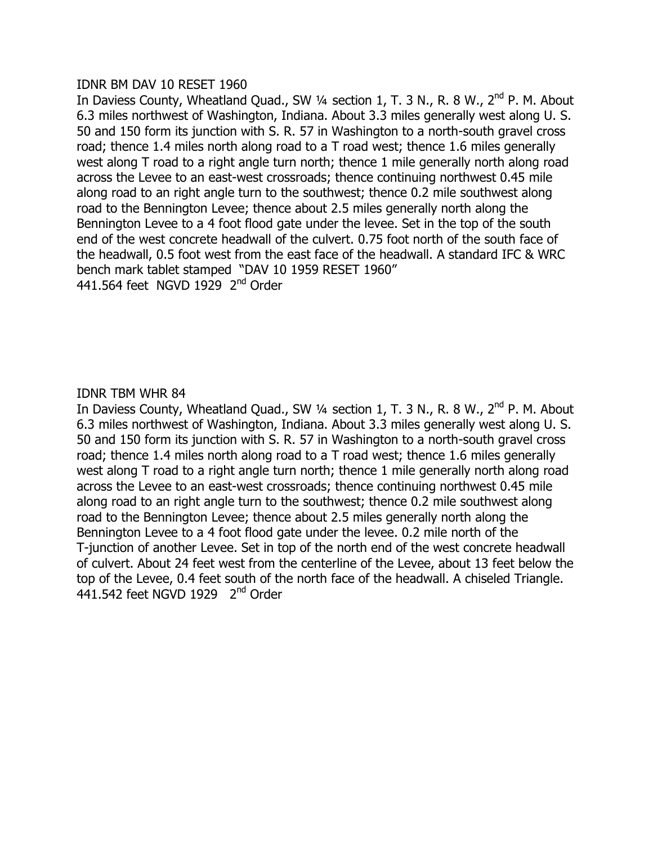#### **IDNR BM DAV 10 RESET 1960**

In Daviess County, Wheatland Quad., SW 1/4 section 1, T. 3 N., R. 8 W., 2<sup>nd</sup> P. M. About 6.3 miles northwest of Washington, Indiana. About 3.3 miles generally west along U.S. 50 and 150 form its junction with S. R. 57 in Washington to a north-south gravel cross road; thence 1.4 miles north along road to a  $T$  road west; thence 1.6 miles generally west along T road to a right angle turn north; thence 1 mile generally north along road across the Levee to an east-west crossroads; thence continuing northwest 0.45 mile along road to an right angle turn to the southwest; thence 0.2 mile southwest along road to the Bennington Levee; thence about 2.5 miles generally north along the Bennington Levee to a 4 foot flood gate under the levee. Set in the top of the south end of the west concrete headwall of the culvert. 0.75 foot north of the south face of the headwall, 0.5 foot west from the east face of the headwall. A standard IFC & WRC bench mark tablet stamped "DAV 10 1959 RESET 1960" 441.564 feet NGVD 1929  $2<sup>nd</sup>$  Order

#### **IDNR TBM WHR 84**

In Daviess County, Wheatland Quad., SW 1/4 section 1, T. 3 N., R. 8 W., 2<sup>nd</sup> P. M. About 6.3 miles northwest of Washington, Indiana. About 3.3 miles generally west along U.S. 50 and 150 form its junction with S. R. 57 in Washington to a north-south gravel cross road; thence 1.4 miles north along road to a  $T$  road west; thence 1.6 miles generally west along T road to a right angle turn north; thence 1 mile generally north along road across the Levee to an east-west crossroads; thence continuing northwest 0.45 mile along road to an right angle turn to the southwest; thence 0.2 mile southwest along road to the Bennington Levee; thence about 2.5 miles generally north along the Bennington Levee to a 4 foot flood gate under the levee. 0.2 mile north of the T-junction of another Levee. Set in top of the north end of the west concrete headwall of culvert. About 24 feet west from the centerline of the Levee, about 13 feet below the top of the Levee, 0.4 feet south of the north face of the headwall. A chiseled Triangle.  $441.542$  feet NGVD 1929  $2<sup>nd</sup>$  Order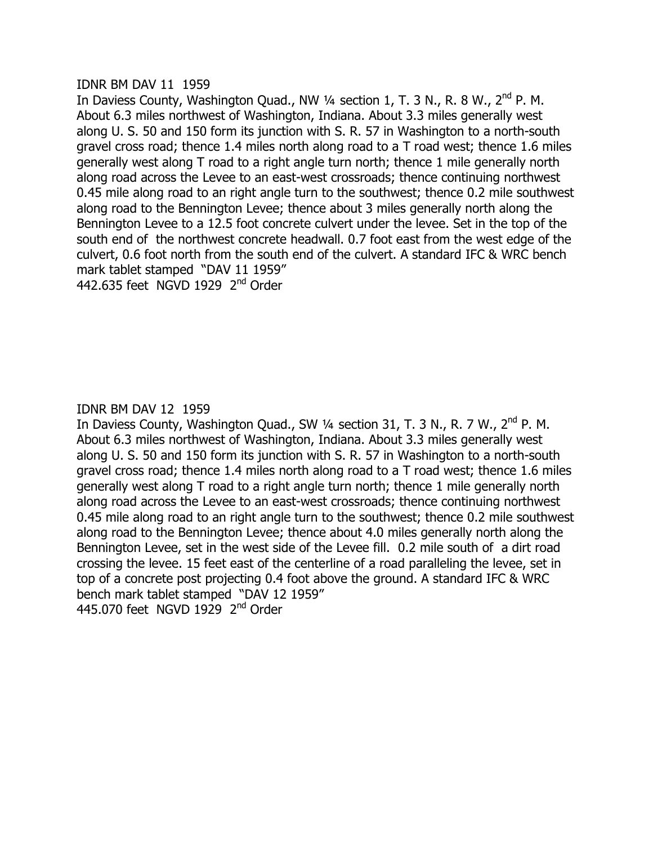#### IDNR BM DAV 11 1959

In Daviess County, Washington Quad., NW  $\frac{1}{4}$  section 1, T. 3 N., R. 8 W., 2<sup>nd</sup> P. M. About 6.3 miles northwest of Washington, Indiana. About 3.3 miles generally west along U, S, 50 and 150 form its junction with S, R, 57 in Washington to a north-south gravel cross road; thence 1.4 miles north along road to a  $T$  road west; thence 1.6 miles generally west along T road to a right angle turn north; thence 1 mile generally north along road across the Levee to an east-west crossroads; thence continuing northwest 0.45 mile along road to an right angle turn to the southwest; thence 0.2 mile southwest along road to the Bennington Levee; thence about 3 miles generally north along the Bennington Levee to a 12.5 foot concrete culvert under the levee. Set in the top of the south end of the northwest concrete headwall. 0.7 foot east from the west edge of the culvert, 0.6 foot north from the south end of the culvert. A standard IFC & WRC bench mark tablet stamped "DAV 11 1959" 442,635 feet NGVD 1929  $2<sup>nd</sup>$  Order

# **IDNR BM DAV 12 1959**

In Daviess County, Washington Quad., SW 1/4 section 31, T. 3 N., R. 7 W., 2<sup>nd</sup> P. M. About 6.3 miles northwest of Washington, Indiana. About 3.3 miles generally west along U. S. 50 and 150 form its junction with S. R. 57 in Washington to a north-south gravel cross road; thence 1.4 miles north along road to a  $T$  road west; thence 1.6 miles generally west along T road to a right angle turn north; thence 1 mile generally north along road across the Levee to an east-west crossroads; thence continuing northwest 0.45 mile along road to an right angle turn to the southwest; thence 0.2 mile southwest along road to the Bennington Levee; thence about 4.0 miles generally north along the Bennington Levee, set in the west side of the Levee fill. 0.2 mile south of a dirt road crossing the levee. 15 feet east of the centerline of a road paralleling the levee, set in top of a concrete post projecting 0.4 foot above the ground. A standard IFC & WRC bench mark tablet stamped "DAV 12 1959" 445.070 feet NGVD 1929  $2<sup>nd</sup>$  Order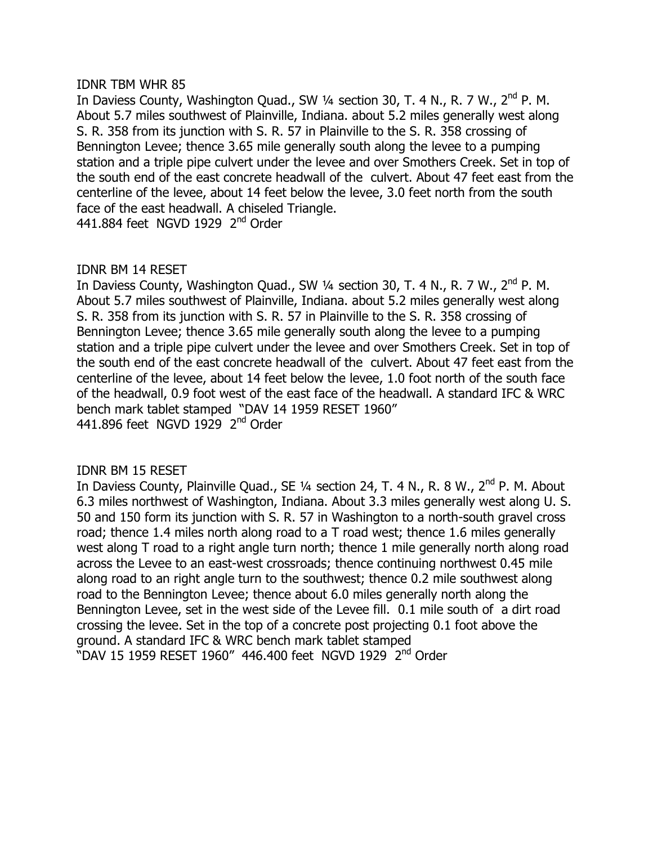#### **IDNR TBM WHR 85**

In Daviess County, Washington Quad., SW 1/4 section 30, T. 4 N., R. 7 W., 2<sup>nd</sup> P. M. About 5.7 miles southwest of Plainville, Indiana. about 5.2 miles generally west along S, R, 358 from its junction with S, R, 57 in Plainville to the S, R, 358 crossing of Bennington Levee; thence 3.65 mile generally south along the levee to a pumping station and a triple pipe culvert under the levee and over Smothers Creek. Set in top of the south end of the east concrete headwall of the culvert. About 47 feet east from the centerline of the levee, about 14 feet below the levee, 3.0 feet north from the south face of the east headwall. A chiseled Triangle. 441.884 feet NGVD 1929 2<sup>nd</sup> Order

# IDNR BM 14 RESET

In Daviess County, Washington Quad., SW 1/4 section 30, T. 4 N., R. 7 W., 2<sup>nd</sup> P. M. About 5.7 miles southwest of Plainville, Indiana. about 5.2 miles generally west along S. R. 358 from its junction with S. R. 57 in Plainville to the S. R. 358 crossing of Bennington Levee; thence 3.65 mile generally south along the levee to a pumping station and a triple pipe culvert under the levee and over Smothers Creek. Set in top of the south end of the east concrete headwall of the culvert. About 47 feet east from the centerline of the levee, about 14 feet below the levee, 1.0 foot north of the south face of the headwall, 0.9 foot west of the east face of the headwall. A standard IFC & WRC bench mark tablet stamped "DAV 14 1959 RESET 1960" 441.896 feet NGVD 1929 2<sup>nd</sup> Order

# IDNR BM 15 RESET

In Daviess County, Plainville Quad., SE 1/4 section 24, T. 4 N., R. 8 W., 2<sup>nd</sup> P. M. About 6.3 miles northwest of Washington, Indiana. About 3.3 miles generally west along U.S. 50 and 150 form its junction with S. R. 57 in Washington to a north-south gravel cross road; thence 1.4 miles north along road to a  $T$  road west; thence 1.6 miles generally west along T road to a right angle turn north; thence 1 mile generally north along road across the Levee to an east-west crossroads; thence continuing northwest 0.45 mile along road to an right angle turn to the southwest; thence 0.2 mile southwest along road to the Bennington Levee; thence about 6.0 miles generally north along the Bennington Levee, set in the west side of the Levee fill. 0.1 mile south of a dirt road crossing the levee. Set in the top of a concrete post projecting 0.1 foot above the ground. A standard IFC & WRC bench mark tablet stamped "DAV 15 1959 RESET 1960" 446.400 feet NGVD 1929 2<sup>nd</sup> Order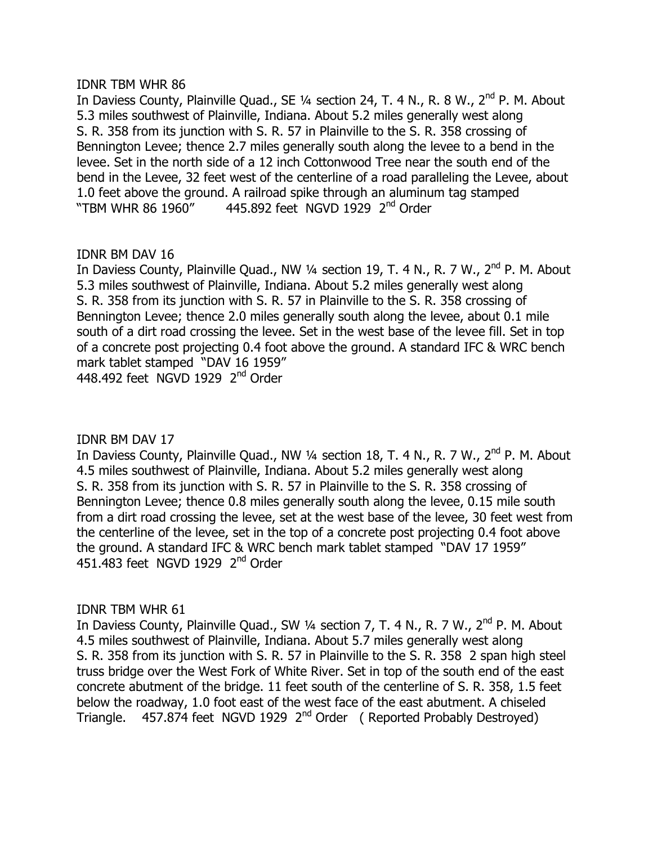#### **IDNR TBM WHR 86**

In Daviess County, Plainville Quad., SE  $\frac{1}{4}$  section 24, T. 4 N., R. 8 W.,  $2^{nd}$  P. M. About 5.3 miles southwest of Plainville, Indiana. About 5.2 miles generally west along S, R, 358 from its junction with S, R, 57 in Plainville to the S, R, 358 crossing of Bennington Levee; thence 2.7 miles generally south along the levee to a bend in the levee. Set in the north side of a 12 inch Cottonwood Tree near the south end of the bend in the Levee, 32 feet west of the centerline of a road paralleling the Levee, about 1.0 feet above the ground. A railroad spike through an aluminum tag stamped "TBM WHR 86 1960" 445.892 feet NGVD 1929  $2<sup>nd</sup>$  Order

# IDNR BM DAV 16

In Daviess County, Plainville Quad., NW 1/4 section 19, T. 4 N., R. 7 W., 2<sup>nd</sup> P. M. About 5.3 miles southwest of Plainville, Indiana. About 5.2 miles generally west along S. R. 358 from its junction with S. R. 57 in Plainville to the S. R. 358 crossing of Bennington Levee; thence 2.0 miles generally south along the levee, about 0.1 mile south of a dirt road crossing the levee. Set in the west base of the levee fill. Set in top of a concrete post projecting 0.4 foot above the ground. A standard IFC & WRC bench mark tablet stamped "DAV 16 1959" 448.492 feet NGVD 1929  $2<sup>nd</sup>$  Order

# **IDNR BM DAV 17**

In Daviess County, Plainville Quad., NW 1/4 section 18, T. 4 N., R. 7 W., 2<sup>nd</sup> P. M. About 4.5 miles southwest of Plainville, Indiana. About 5.2 miles generally west along S. R. 358 from its junction with S. R. 57 in Plainville to the S. R. 358 crossing of Bennington Levee; thence 0.8 miles generally south along the levee, 0.15 mile south from a dirt road crossing the levee, set at the west base of the levee, 30 feet west from the centerline of the levee, set in the top of a concrete post projecting 0.4 foot above the ground. A standard IFC & WRC bench mark tablet stamped "DAV 17 1959" 451.483 feet NGVD 1929  $2<sup>nd</sup>$  Order

# IDNR TBM WHR 61

In Daviess County, Plainville Quad., SW 1/4 section 7, T. 4 N., R. 7 W., 2<sup>nd</sup> P. M. About 4.5 miles southwest of Plainville, Indiana. About 5.7 miles generally west along S. R. 358 from its junction with S. R. 57 in Plainville to the S. R. 358 2 span high steel truss bridge over the West Fork of White River. Set in top of the south end of the east concrete abutment of the bridge. 11 feet south of the centerline of S. R. 358, 1.5 feet below the roadway, 1.0 foot east of the west face of the east abutment. A chiseled Triangle.  $\frac{457.874}{456}$  feet NGVD 1929 2<sup>nd</sup> Order (Reported Probably Destroyed)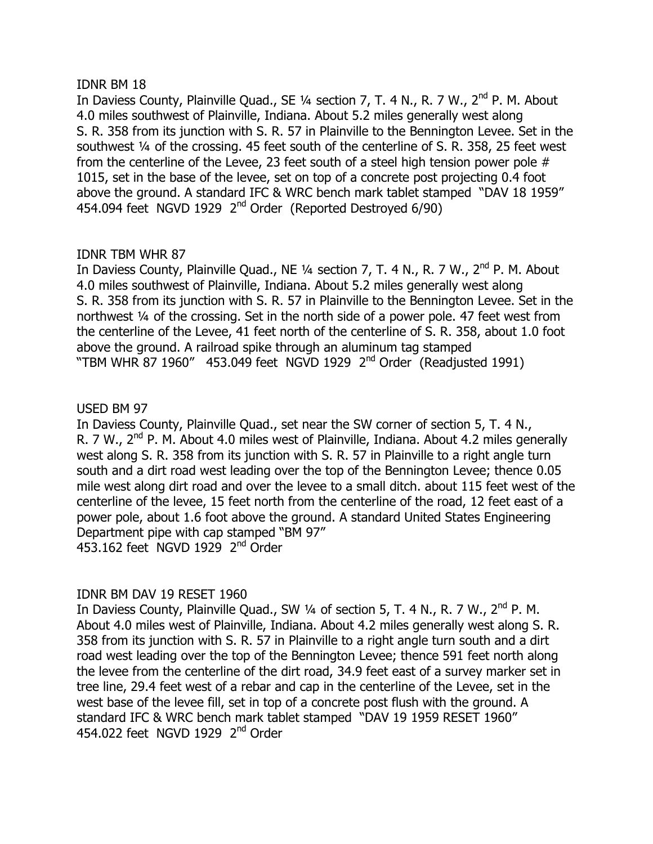#### IDNR BM 18

In Daviess County, Plainville Quad., SE 1/4 section 7, T. 4 N., R. 7 W., 2<sup>nd</sup> P. M. About 4.0 miles southwest of Plainville, Indiana. About 5.2 miles generally west along S, R, 358 from its junction with S, R, 57 in Plainville to the Bennington Levee. Set in the southwest 1/4 of the crossing. 45 feet south of the centerline of S. R. 358, 25 feet west from the centerline of the Levee, 23 feet south of a steel high tension power pole  $#$ 1015, set in the base of the levee, set on top of a concrete post projecting 0.4 foot above the ground. A standard IFC & WRC bench mark tablet stamped "DAV 18 1959" 454.094 feet NGVD 1929 2<sup>nd</sup> Order (Reported Destroyed 6/90)

# **IDNR TBM WHR 87**

In Daviess County, Plainville Quad., NE  $\frac{1}{4}$  section 7, T. 4 N., R. 7 W.,  $2^{nd}$  P. M. About 4.0 miles southwest of Plainville, Indiana. About 5.2 miles generally west along S. R. 358 from its junction with S. R. 57 in Plainville to the Bennington Levee. Set in the northwest  $\frac{1}{4}$  of the crossing. Set in the north side of a power pole. 47 feet west from the centerline of the Levee, 41 feet north of the centerline of S. R. 358, about 1.0 foot above the ground. A railroad spike through an aluminum tag stamped "TBM WHR 87 1960" 453.049 feet NGVD 1929  $2<sup>nd</sup>$  Order (Readjusted 1991)

# USED BM 97

In Daviess County, Plainville Quad., set near the SW corner of section 5, T. 4 N., R. 7 W.,  $2^{nd}$  P. M. About 4.0 miles west of Plainville, Indiana. About 4.2 miles generally west along S. R. 358 from its junction with S. R. 57 in Plainville to a right angle turn south and a dirt road west leading over the top of the Bennington Levee; thence 0.05 mile west along dirt road and over the levee to a small ditch. about 115 feet west of the centerline of the levee, 15 feet north from the centerline of the road, 12 feet east of a power pole, about 1.6 foot above the ground. A standard United States Engineering Department pipe with cap stamped "BM 97"  $453.162$  feet NGVD 1929  $2<sup>nd</sup>$  Order

# IDNR BM DAV 19 RESET 1960

In Daviess County, Plainville Quad., SW 1/4 of section 5, T. 4 N., R. 7 W., 2<sup>nd</sup> P. M. About 4.0 miles west of Plainville, Indiana. About 4.2 miles generally west along S. R. 358 from its junction with S. R. 57 in Plainville to a right angle turn south and a dirt road west leading over the top of the Bennington Levee; thence 591 feet north along the levee from the centerline of the dirt road, 34.9 feet east of a survey marker set in tree line, 29.4 feet west of a rebar and cap in the centerline of the Levee, set in the west base of the levee fill, set in top of a concrete post flush with the ground. A standard IFC & WRC bench mark tablet stamped "DAV 19 1959 RESET 1960" 454.022 feet NGVD 1929  $2<sup>nd</sup>$  Order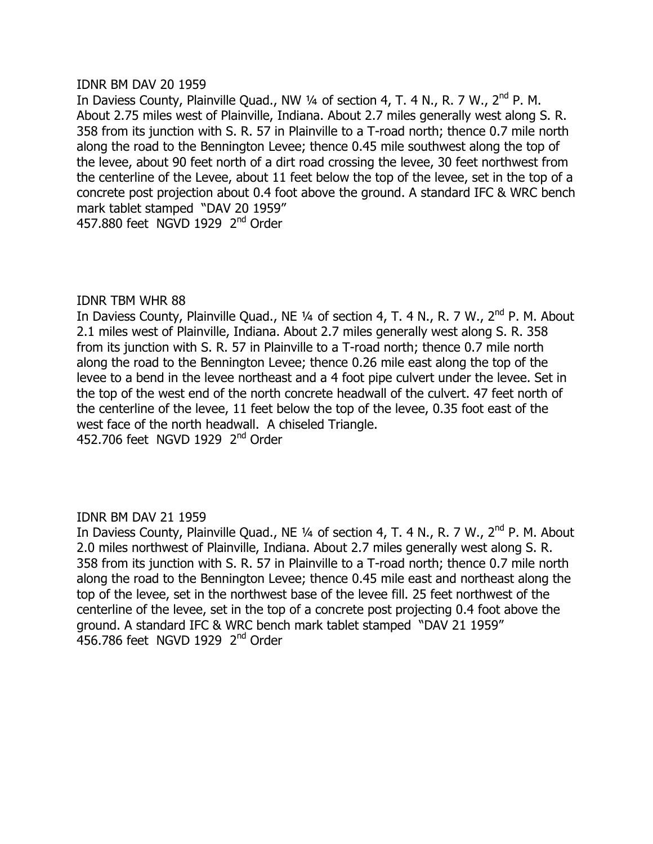#### IDNR BM DAV 20 1959

In Daviess County, Plainville Quad., NW  $\frac{1}{4}$  of section 4, T. 4 N., R. 7 W.,  $2^{nd}$  P. M. About 2.75 miles west of Plainville, Indiana. About 2.7 miles generally west along S. R. 358 from its junction with S, R, 57 in Plainville to a T-road north; thence 0.7 mile north along the road to the Bennington Levee; thence 0.45 mile southwest along the top of the levee, about 90 feet north of a dirt road crossing the levee, 30 feet northwest from the centerline of the Levee, about 11 feet below the top of the levee, set in the top of a concrete post projection about 0.4 foot above the ground. A standard IFC & WRC bench mark tablet stamped "DAV 20 1959" 457.880 feet NGVD 1929  $2<sup>nd</sup>$  Order

#### **IDNR TBM WHR 88**

In Daviess County, Plainville Quad., NE  $\frac{1}{4}$  of section 4, T. 4 N., R. 7 W.,  $2^{nd}$  P. M. About 2.1 miles west of Plainville, Indiana. About 2.7 miles generally west along S. R. 358 from its junction with S. R. 57 in Plainville to a T-road north; thence 0.7 mile north along the road to the Bennington Levee; thence 0.26 mile east along the top of the levee to a bend in the levee northeast and a 4 foot pipe culvert under the levee. Set in the top of the west end of the north concrete headwall of the culvert. 47 feet north of the centerline of the levee, 11 feet below the top of the levee,  $0.35$  foot east of the west face of the north headwall. A chiseled Triangle. 452.706 feet NGVD 1929 2<sup>nd</sup> Order

#### **IDNR BM DAV 21 1959**

In Daviess County, Plainville Quad., NE 1/4 of section 4, T. 4 N., R. 7 W., 2<sup>nd</sup> P. M. About 2.0 miles northwest of Plainville, Indiana. About 2.7 miles generally west along S. R. 358 from its junction with S. R. 57 in Plainville to a T-road north; thence 0.7 mile north along the road to the Bennington Levee; thence 0.45 mile east and northeast along the top of the levee, set in the northwest base of the levee fill. 25 feet northwest of the centerline of the levee, set in the top of a concrete post projecting 0.4 foot above the ground. A standard IFC & WRC bench mark tablet stamped "DAV 21 1959"  $456.786$  feet NGVD 1929  $2<sup>nd</sup>$  Order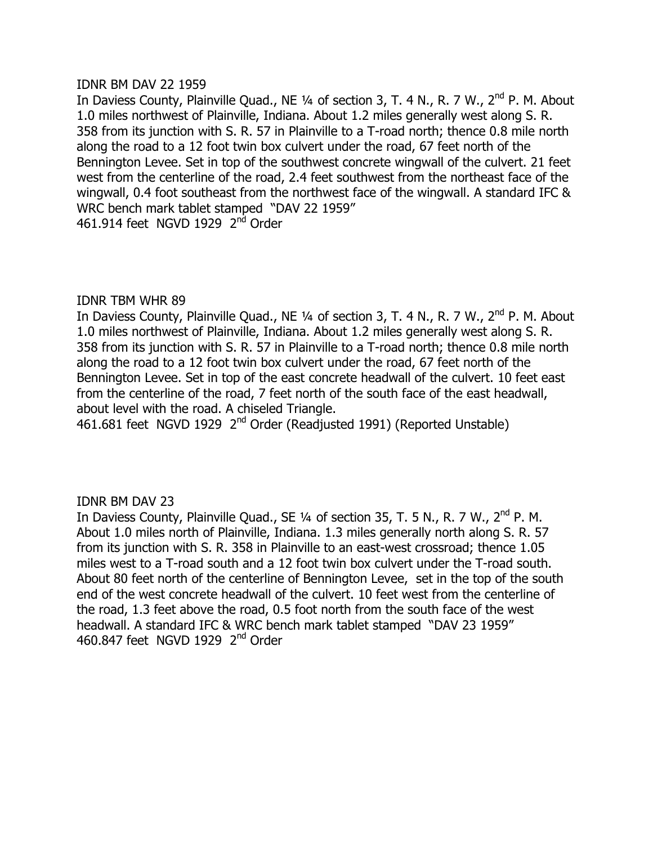#### IDNR BM DAV 22 1959

In Daviess County, Plainville Quad., NE 1/4 of section 3, T. 4 N., R. 7 W., 2<sup>nd</sup> P. M. About 1.0 miles northwest of Plainville, Indiana. About 1.2 miles generally west along S. R. 358 from its junction with S, R, 57 in Plainville to a T-road north: thence 0.8 mile north along the road to a 12 foot twin box culvert under the road, 67 feet north of the Bennington Levee. Set in top of the southwest concrete wingwall of the culvert. 21 feet west from the centerline of the road, 2.4 feet southwest from the northeast face of the wingwall, 0.4 foot southeast from the northwest face of the wingwall. A standard IFC & WRC bench mark tablet stamped "DAV 22 1959" 461.914 feet NGVD 1929 2<sup>nd</sup> Order

# **IDNR TBM WHR 89**

In Daviess County, Plainville Quad., NE  $\frac{1}{4}$  of section 3, T. 4 N., R. 7 W.,  $2^{nd}$  P. M. About 1.0 miles northwest of Plainville, Indiana. About 1.2 miles generally west along S. R. 358 from its junction with S. R. 57 in Plainville to a T-road north; thence 0.8 mile north along the road to a 12 foot twin box culvert under the road, 67 feet north of the Bennington Levee. Set in top of the east concrete headwall of the culvert. 10 feet east from the centerline of the road, 7 feet north of the south face of the east headwall, about level with the road. A chiseled Triangle.

461.681 feet NGVD 1929 2<sup>nd</sup> Order (Readjusted 1991) (Reported Unstable)

# **IDNR BM DAV 23**

In Daviess County, Plainville Quad., SE 1/4 of section 35, T. 5 N., R. 7 W., 2<sup>nd</sup> P. M. About 1.0 miles north of Plainville, Indiana. 1.3 miles generally north along S. R. 57 from its junction with S. R. 358 in Plainville to an east-west crossroad; thence 1.05 miles west to a T-road south and a 12 foot twin box culvert under the T-road south. About 80 feet north of the centerline of Bennington Levee, set in the top of the south end of the west concrete headwall of the culvert. 10 feet west from the centerline of the road, 1.3 feet above the road, 0.5 foot north from the south face of the west headwall. A standard IFC & WRC bench mark tablet stamped "DAV 23 1959" 460.847 feet NGVD 1929  $2<sup>nd</sup>$  Order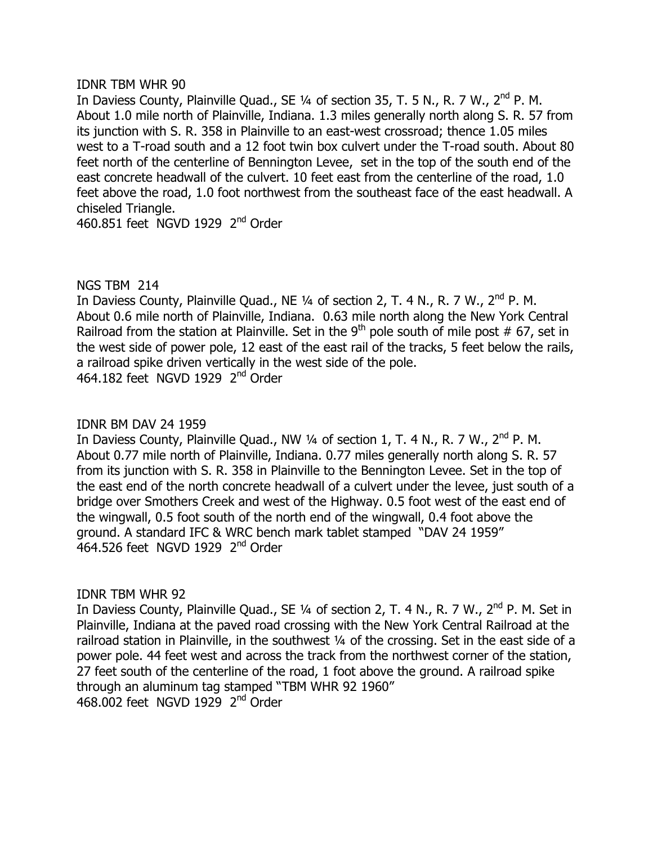#### **IDNR TBM WHR 90**

In Daviess County, Plainville Quad., SE  $\frac{1}{4}$  of section 35, T. 5 N., R. 7 W.,  $2^{nd}$  P. M. About 1.0 mile north of Plainville, Indiana. 1.3 miles generally north along S. R. 57 from its junction with S, R, 358 in Plainville to an east-west crossroad: thence 1.05 miles west to a T-road south and a 12 foot twin box culvert under the T-road south. About 80 feet north of the centerline of Bennington Levee, set in the top of the south end of the east concrete headwall of the culvert. 10 feet east from the centerline of the road, 1.0 feet above the road, 1.0 foot northwest from the southeast face of the east headwall. A chiseled Triangle.

460.851 feet NGVD 1929  $2<sup>nd</sup>$  Order

# NGS TBM 214

In Daviess County, Plainville Quad., NE  $\frac{1}{4}$  of section 2, T. 4 N., R. 7 W.,  $2^{nd}$  P. M. About 0.6 mile north of Plainville, Indiana. 0.63 mile north along the New York Central Railroad from the station at Plainville. Set in the 9<sup>th</sup> pole south of mile post # 67, set in the west side of power pole, 12 east of the east rail of the tracks, 5 feet below the rails, a railroad spike driven vertically in the west side of the pole. 464.182 feet NGVD 1929  $2<sup>nd</sup>$  Order

# IDNR BM DAV 24 1959

In Daviess County, Plainville Quad., NW  $\frac{1}{4}$  of section 1, T. 4 N., R. 7 W.,  $2^{nd}$  P. M. About 0.77 mile north of Plainville, Indiana. 0.77 miles generally north along S. R. 57 from its junction with S. R. 358 in Plainville to the Bennington Levee. Set in the top of the east end of the north concrete headwall of a culvert under the levee, just south of a bridge over Smothers Creek and west of the Highway. 0.5 foot west of the east end of the wingwall, 0.5 foot south of the north end of the wingwall, 0.4 foot above the ground. A standard IFC & WRC bench mark tablet stamped "DAV 24 1959" 464.526 feet NGVD 1929  $2<sup>nd</sup>$  Order

# **IDNR TBM WHR 92**

In Daviess County, Plainville Quad., SE  $\frac{1}{4}$  of section 2, T. 4 N., R. 7 W.,  $2^{nd}$  P. M. Set in Plainville, Indiana at the paved road crossing with the New York Central Railroad at the railroad station in Plainville, in the southwest 1/4 of the crossing. Set in the east side of a power pole. 44 feet west and across the track from the northwest corner of the station, 27 feet south of the centerline of the road, 1 foot above the ground. A railroad spike through an aluminum tag stamped "TBM WHR 92 1960"  $468.002$  feet NGVD 1929  $2<sup>nd</sup>$  Order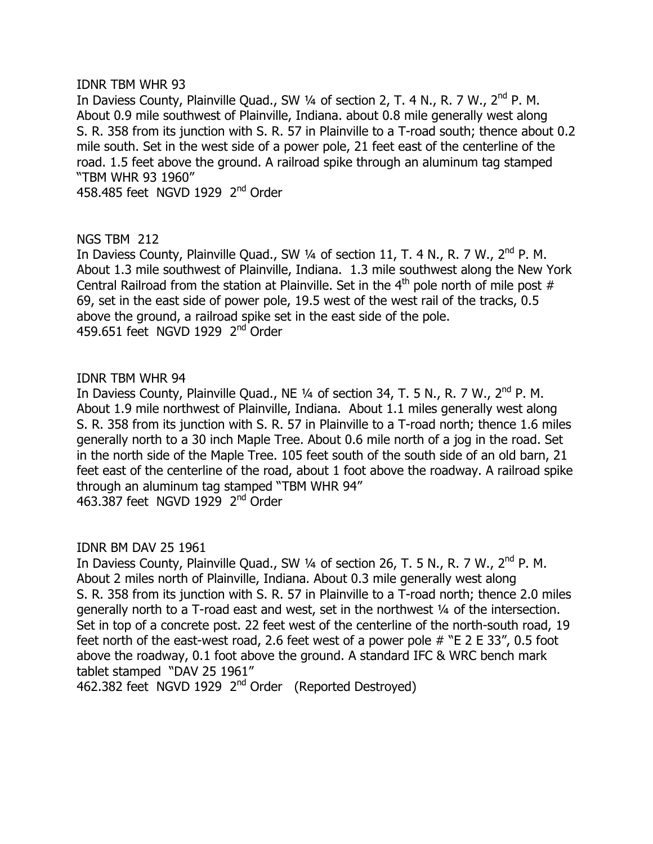#### **IDNR TBM WHR 93**

In Daviess County, Plainville Quad., SW  $\frac{1}{4}$  of section 2, T. 4 N., R. 7 W.,  $2^{nd}$  P. M. About 0.9 mile southwest of Plainville, Indiana. about 0.8 mile generally west along S, R, 358 from its junction with S, R, 57 in Plainville to a T-road south: thence about 0.2 mile south. Set in the west side of a power pole, 21 feet east of the centerline of the road. 1.5 feet above the ground. A railroad spike through an aluminum tag stamped "TBM WHR 93 1960"

458.485 feet NGVD 1929  $2<sup>nd</sup>$  Order

# **NGS TBM 212**

In Daviess County, Plainville Quad., SW  $\frac{1}{4}$  of section 11, T. 4 N., R. 7 W.,  $2^{nd}$  P. M. About 1.3 mile southwest of Plainville, Indiana. 1.3 mile southwest along the New York Central Railroad from the station at Plainville. Set in the  $4<sup>th</sup>$  pole north of mile post # 69, set in the east side of power pole, 19.5 west of the west rail of the tracks, 0.5 above the ground, a railroad spike set in the east side of the pole. 459.651 feet NGVD 1929  $2<sup>nd</sup>$  Order

#### IDNR TBM WHR 94

In Daviess County, Plainville Quad., NE  $\frac{1}{4}$  of section 34, T. 5 N., R. 7 W.,  $2^{nd}$  P. M. About 1.9 mile northwest of Plainville, Indiana. About 1.1 miles generally west along S. R. 358 from its junction with S. R. 57 in Plainville to a T-road north; thence 1.6 miles generally north to a 30 inch Maple Tree. About 0.6 mile north of a jog in the road. Set in the north side of the Maple Tree. 105 feet south of the south side of an old barn, 21 feet east of the centerline of the road, about 1 foot above the roadway. A railroad spike through an aluminum tag stamped "TBM WHR 94"  $463.387$  feet NGVD 1929  $2<sup>nd</sup>$  Order

# IDNR BM DAV 25 1961

In Daviess County, Plainville Quad., SW  $\frac{1}{4}$  of section 26, T. 5 N., R. 7 W., 2<sup>nd</sup> P. M. About 2 miles north of Plainville, Indiana. About 0.3 mile generally west along S. R. 358 from its junction with S. R. 57 in Plainville to a T-road north; thence 2.0 miles generally north to a T-road east and west, set in the northwest  $\frac{1}{4}$  of the intersection. Set in top of a concrete post. 22 feet west of the centerline of the north-south road, 19 feet north of the east-west road, 2.6 feet west of a power pole  $#$  "E 2 E 33", 0.5 foot above the roadway, 0.1 foot above the ground. A standard IFC & WRC bench mark tablet stamped "DAV 25 1961"

462.382 feet NGVD 1929 2<sup>nd</sup> Order (Reported Destroyed)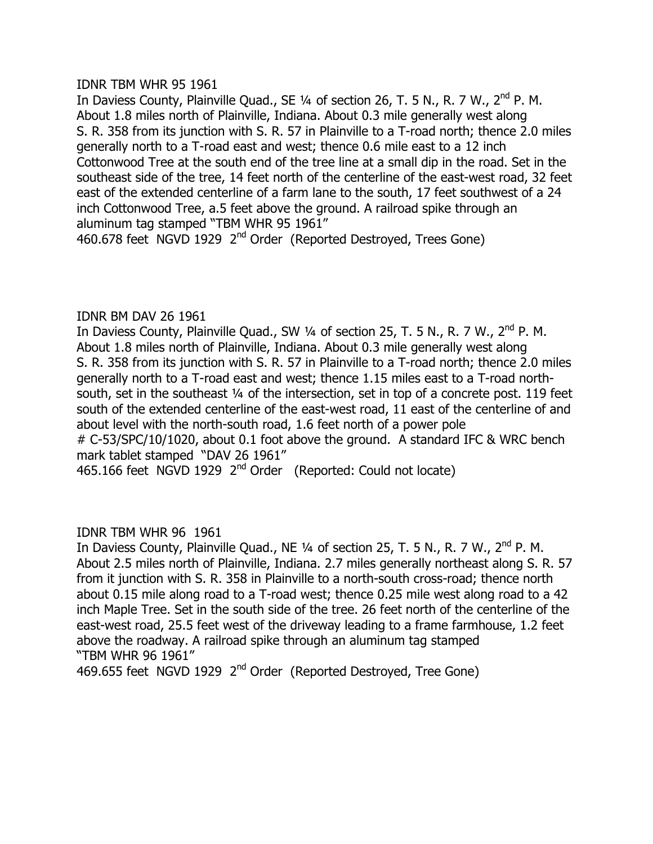IDNR TBM WHR 95 1961

In Daviess County, Plainville Quad., SE  $\frac{1}{4}$  of section 26, T. 5 N., R. 7 W.,  $2^{nd}$  P. M. About 1.8 miles north of Plainville, Indiana. About 0.3 mile generally west along S. R. 358 from its junction with S. R. 57 in Plainville to a T-road north; thence 2.0 miles generally north to a T-road east and west; thence 0.6 mile east to a 12 inch Cottonwood Tree at the south end of the tree line at a small dip in the road. Set in the southeast side of the tree, 14 feet north of the centerline of the east-west road, 32 feet east of the extended centerline of a farm lane to the south, 17 feet southwest of a 24 inch Cottonwood Tree, a.5 feet above the ground. A railroad spike through an aluminum tag stamped "TBM WHR 95 1961"

460.678 feet NGVD 1929 2<sup>nd</sup> Order (Reported Destroyed, Trees Gone)

# IDNR BM DAV 26 1961

In Daviess County, Plainville Quad., SW 1/4 of section 25, T. 5 N., R. 7 W., 2<sup>nd</sup> P. M. About 1.8 miles north of Plainville, Indiana. About 0.3 mile generally west along S. R. 358 from its junction with S. R. 57 in Plainville to a T-road north; thence 2.0 miles generally north to a T-road east and west; thence 1.15 miles east to a T-road northsouth, set in the southeast 1/4 of the intersection, set in top of a concrete post. 119 feet south of the extended centerline of the east-west road, 11 east of the centerline of and about level with the north-south road, 1.6 feet north of a power pole # C-53/SPC/10/1020, about 0.1 foot above the ground. A standard IFC & WRC bench mark tablet stamped "DAV 26 1961" 465.166 feet NGVD 1929  $2<sup>nd</sup>$  Order (Reported: Could not locate)

IDNR TBM WHR 96 1961

In Daviess County, Plainville Quad., NE  $\frac{1}{4}$  of section 25, T. 5 N., R. 7 W.,  $2^{nd}$  P. M. About 2.5 miles north of Plainville, Indiana. 2.7 miles generally northeast along S. R. 57 from it junction with S. R. 358 in Plainville to a north-south cross-road; thence north about 0.15 mile along road to a T-road west; thence 0.25 mile west along road to a 42 inch Maple Tree. Set in the south side of the tree. 26 feet north of the centerline of the east-west road, 25.5 feet west of the driveway leading to a frame farmhouse, 1.2 feet above the roadway. A railroad spike through an aluminum tag stamped "TBM WHR 96 1961"

469.655 feet NGVD 1929 2<sup>nd</sup> Order (Reported Destroyed, Tree Gone)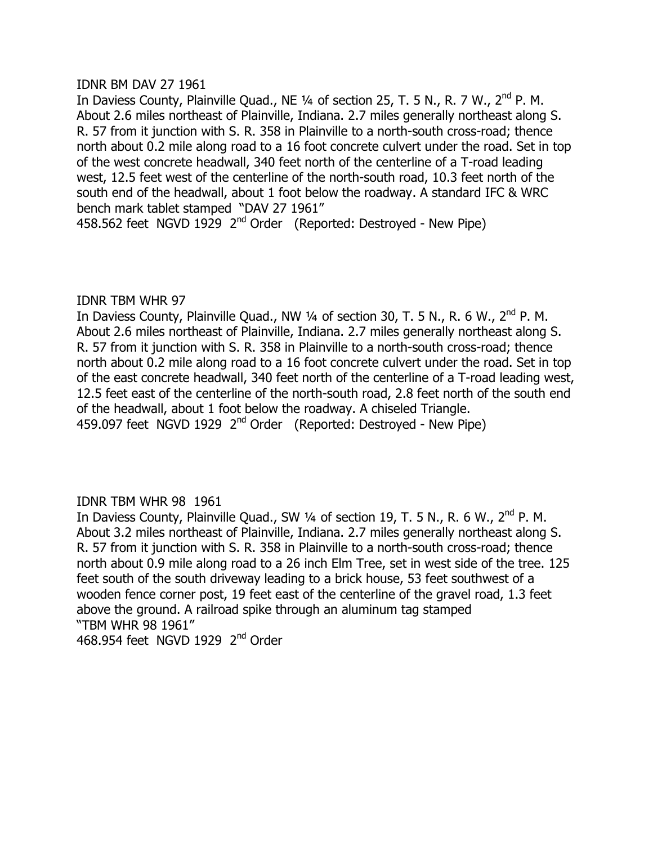#### IDNR BM DAV 27 1961

In Daviess County, Plainville Quad., NE  $\frac{1}{4}$  of section 25, T. 5 N., R. 7 W.,  $2^{nd}$  P. M. About 2.6 miles northeast of Plainville, Indiana. 2.7 miles generally northeast along S. R, 57 from it junction with S, R, 358 in Plainville to a north-south cross-road; thence north about 0.2 mile along road to a 16 foot concrete culvert under the road. Set in top of the west concrete headwall, 340 feet north of the centerline of a T-road leading west, 12.5 feet west of the centerline of the north-south road, 10.3 feet north of the south end of the headwall, about 1 foot below the roadway. A standard IFC & WRC bench mark tablet stamped "DAV 27 1961"

458.562 feet NGVD 1929  $2<sup>nd</sup>$  Order (Reported: Destroyed - New Pipe)

#### **IDNR TBM WHR 97**

In Daviess County, Plainville Quad., NW  $\frac{1}{4}$  of section 30, T. 5 N., R. 6 W.,  $2^{nd}$  P. M. About 2.6 miles northeast of Plainville, Indiana. 2.7 miles generally northeast along S. R. 57 from it junction with S. R. 358 in Plainville to a north-south cross-road; thence north about 0.2 mile along road to a 16 foot concrete culvert under the road. Set in top of the east concrete headwall, 340 feet north of the centerline of a T-road leading west, 12.5 feet east of the centerline of the north-south road, 2.8 feet north of the south end of the headwall, about 1 foot below the roadway. A chiseled Triangle. 459.097 feet NGVD 1929 2<sup>nd</sup> Order (Reported: Destroyed - New Pipe)

# IDNR TBM WHR 98 1961

In Daviess County, Plainville Quad., SW  $\frac{1}{4}$  of section 19, T. 5 N., R. 6 W.,  $2^{nd}$  P. M. About 3.2 miles northeast of Plainville, Indiana. 2.7 miles generally northeast along S. R. 57 from it junction with S. R. 358 in Plainville to a north-south cross-road; thence north about 0.9 mile along road to a 26 inch Elm Tree, set in west side of the tree. 125 feet south of the south driveway leading to a brick house, 53 feet southwest of a wooden fence corner post, 19 feet east of the centerline of the gravel road, 1.3 feet above the ground. A railroad spike through an aluminum tag stamped "TBM WHR 98 1961" 468,954 feet NGVD 1929  $2<sup>nd</sup>$  Order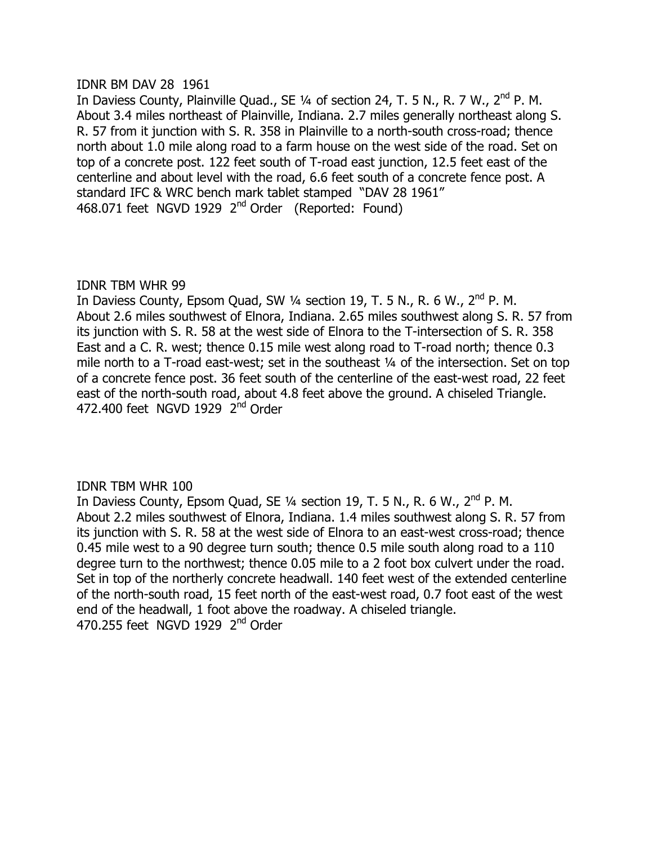#### IDNR BM DAV 28 1961

In Daviess County, Plainville Quad., SE  $\frac{1}{4}$  of section 24, T. 5 N., R. 7 W.,  $2^{nd}$  P. M. About 3.4 miles northeast of Plainville, Indiana. 2.7 miles generally northeast along S. R, 57 from it junction with S, R, 358 in Plainville to a north-south cross-road; thence north about 1.0 mile along road to a farm house on the west side of the road. Set on top of a concrete post. 122 feet south of T-road east junction, 12.5 feet east of the centerline and about level with the road, 6.6 feet south of a concrete fence post. A standard IFC & WRC bench mark tablet stamped "DAV 28 1961" 468.071 feet NGVD 1929  $2<sup>nd</sup>$  Order (Reported: Found)

# **IDNR TBM WHR 99**

In Daviess County, Epsom Quad, SW 1/4 section 19, T. 5 N., R. 6 W., 2<sup>nd</sup> P. M. About 2.6 miles southwest of Elnora, Indiana. 2.65 miles southwest along S. R. 57 from its junction with S. R. 58 at the west side of Elnora to the T-intersection of S. R. 358 East and a C. R. west; thence 0.15 mile west along road to T-road north; thence 0.3 mile north to a T-road east-west; set in the southeast  $\frac{1}{4}$  of the intersection. Set on top of a concrete fence post. 36 feet south of the centerline of the east-west road, 22 feet east of the north-south road, about 4.8 feet above the ground. A chiseled Triangle. 472.400 feet NGVD 1929 2<sup>nd</sup> Order

# IDNR TBM WHR 100

In Daviess County, Epsom Quad, SE 1/4 section 19, T. 5 N., R. 6 W., 2<sup>nd</sup> P. M. About 2.2 miles southwest of Elnora, Indiana. 1.4 miles southwest along S. R. 57 from its junction with S. R. 58 at the west side of Elnora to an east-west cross-road; thence 0.45 mile west to a 90 degree turn south; thence 0.5 mile south along road to a 110 degree turn to the northwest; thence 0.05 mile to a 2 foot box culvert under the road. Set in top of the northerly concrete headwall. 140 feet west of the extended centerline of the north-south road, 15 feet north of the east-west road, 0.7 foot east of the west end of the headwall, 1 foot above the roadway. A chiseled triangle. 470.255 feet NGVD 1929 2<sup>nd</sup> Order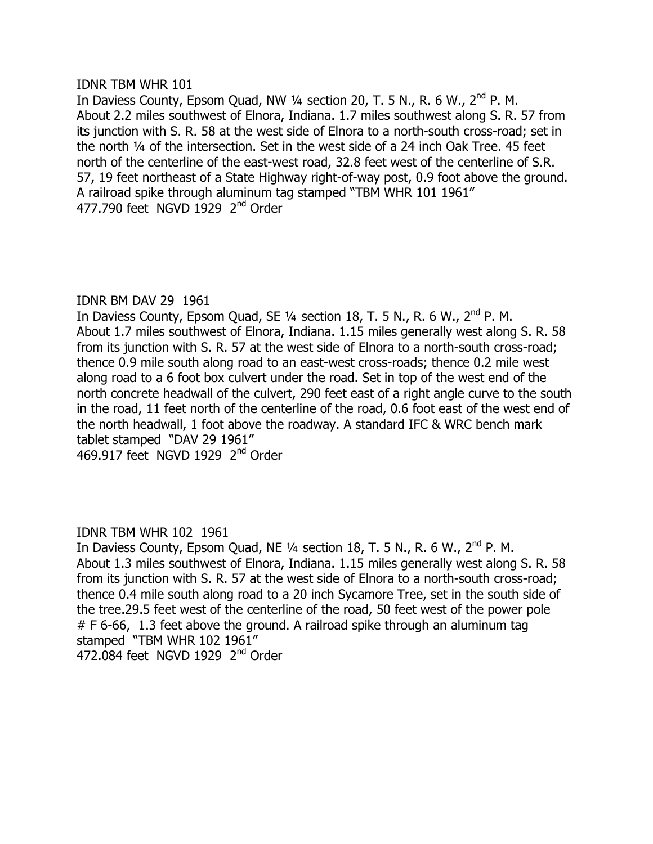#### IDNR TBM WHR 101

In Daviess County, Epsom Quad, NW  $\frac{1}{4}$  section 20, T. 5 N., R. 6 W., 2<sup>nd</sup> P. M. About 2.2 miles southwest of Elnora, Indiana. 1.7 miles southwest along S. R. 57 from its junction with S, R, 58 at the west side of Elnora to a north-south cross-road; set in the north  $\frac{1}{4}$  of the intersection. Set in the west side of a 24 inch Oak Tree. 45 feet north of the centerline of the east-west road, 32.8 feet west of the centerline of S.R. 57, 19 feet northeast of a State Highway right-of-way post, 0.9 foot above the ground. A railroad spike through aluminum tag stamped "TBM WHR 101 1961"  $477.790$  feet NGVD 1929  $2<sup>nd</sup>$  Order

# IDNR BM DAV 29 1961

In Daviess County, Epsom Quad, SE  $\frac{1}{4}$  section 18, T. 5 N., R. 6 W., 2<sup>nd</sup> P. M. About 1.7 miles southwest of Elnora, Indiana. 1.15 miles generally west along S. R. 58 from its junction with S. R. 57 at the west side of Elnora to a north-south cross-road; thence 0.9 mile south along road to an east-west cross-roads; thence 0.2 mile west along road to a 6 foot box culvert under the road. Set in top of the west end of the north concrete headwall of the culvert, 290 feet east of a right angle curve to the south in the road, 11 feet north of the centerline of the road, 0.6 foot east of the west end of the north headwall, 1 foot above the roadway. A standard IFC & WRC bench mark tablet stamped "DAV 29 1961"

# 469.917 feet NGVD 1929  $2<sup>nd</sup>$  Order

# IDNR TBM WHR 102 1961

In Daviess County, Epsom Quad, NE  $\frac{1}{4}$  section 18, T. 5 N., R. 6 W., 2<sup>nd</sup> P. M. About 1.3 miles southwest of Elnora, Indiana. 1.15 miles generally west along S. R. 58 from its junction with S. R. 57 at the west side of Elnora to a north-south cross-road; thence 0.4 mile south along road to a 20 inch Sycamore Tree, set in the south side of the tree.29.5 feet west of the centerline of the road, 50 feet west of the power pole  $#F$  6-66, 1.3 feet above the ground. A railroad spike through an aluminum tag stamped "TBM WHR 102 1961" 472.084 feet NGVD 1929  $2<sup>nd</sup>$  Order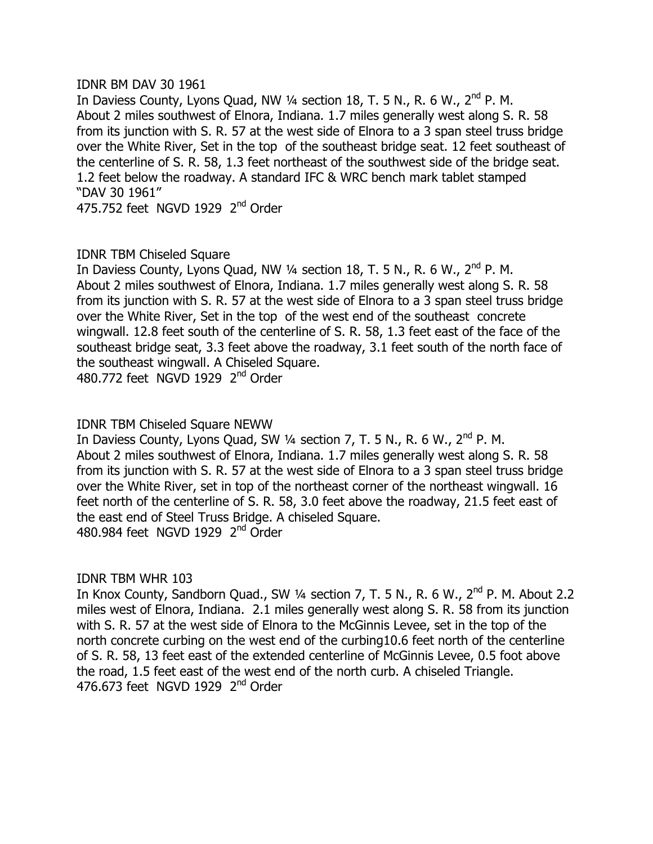#### IDNR BM DAV 30 1961

In Daviess County, Lyons Quad, NW 1/4 section 18, T. 5 N., R. 6 W., 2<sup>nd</sup> P. M. About 2 miles southwest of Elnora, Indiana. 1.7 miles generally west along S. R. 58 from its junction with S, R, 57 at the west side of Elnora to a 3 span steel truss bridge over the White River, Set in the top of the southeast bridge seat. 12 feet southeast of the centerline of S, R, 58, 1.3 feet northeast of the southwest side of the bridge seat. 1.2 feet below the roadway. A standard IFC & WRC bench mark tablet stamped "DAV 30 1961"

475.752 feet NGVD 1929 2<sup>nd</sup> Order

# **IDNR TBM Chiseled Square**

In Daviess County, Lyons Quad, NW  $\frac{1}{4}$  section 18, T. 5 N., R. 6 W., 2<sup>nd</sup> P. M. About 2 miles southwest of Elnora, Indiana. 1.7 miles generally west along S. R. 58 from its junction with S. R. 57 at the west side of Elnora to a 3 span steel truss bridge over the White River, Set in the top of the west end of the southeast concrete wingwall. 12.8 feet south of the centerline of S. R. 58, 1.3 feet east of the face of the southeast bridge seat, 3.3 feet above the roadway, 3.1 feet south of the north face of the southeast wingwall. A Chiseled Square. 480.772 feet NGVD 1929 2<sup>nd</sup> Order

# IDNR TBM Chiseled Square NEWW

In Daviess County, Lyons Quad, SW 1/4 section 7, T. 5 N., R. 6 W., 2<sup>nd</sup> P. M. About 2 miles southwest of Elnora, Indiana. 1.7 miles generally west along S. R. 58 from its junction with S. R. 57 at the west side of Elnora to a 3 span steel truss bridge over the White River, set in top of the northeast corner of the northeast wingwall. 16 feet north of the centerline of S. R. 58, 3.0 feet above the roadway, 21.5 feet east of the east end of Steel Truss Bridge. A chiseled Square. 480.984 feet NGVD 1929 2<sup>nd</sup> Order

# IDNR TBM WHR 103

In Knox County, Sandborn Quad., SW  $\frac{1}{4}$  section 7, T. 5 N., R. 6 W.,  $2^{nd}$  P. M. About 2.2 miles west of Elnora, Indiana. 2.1 miles generally west along S. R. 58 from its junction with S. R. 57 at the west side of Elnora to the McGinnis Levee, set in the top of the north concrete curbing on the west end of the curbing 10.6 feet north of the centerline of S. R. 58, 13 feet east of the extended centerline of McGinnis Levee, 0.5 foot above the road, 1.5 feet east of the west end of the north curb. A chiseled Triangle. 476.673 feet NGVD 1929  $2<sup>nd</sup>$  Order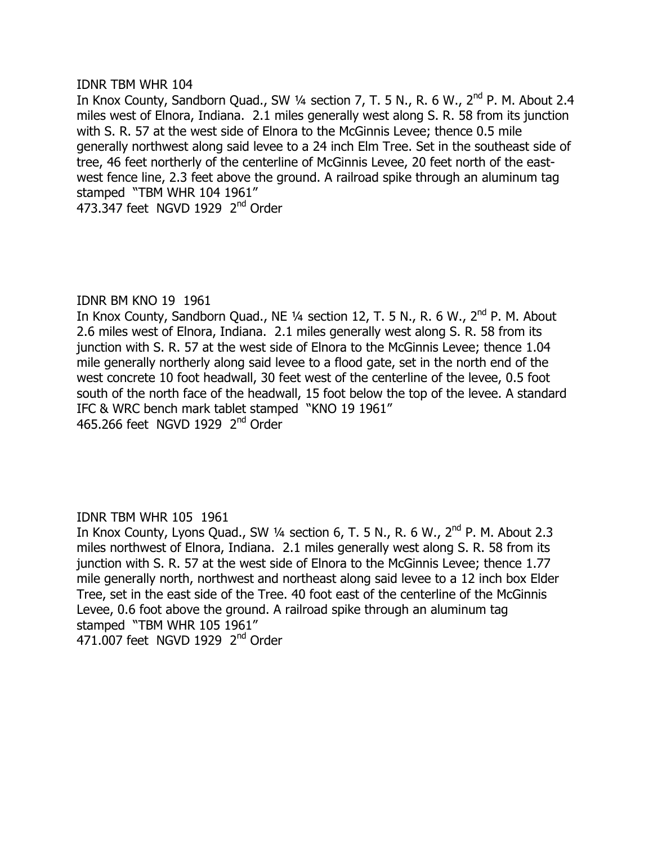#### IDNR TBM WHR 104

In Knox County, Sandborn Quad., SW  $\frac{1}{4}$  section 7, T. 5 N., R. 6 W.,  $2^{nd}$  P. M. About 2.4 miles west of Elnora, Indiana. 2.1 miles generally west along S. R. 58 from its junction with S, R, 57 at the west side of Elnora to the McGinnis Levee; thence 0.5 mile generally northwest along said levee to a 24 inch Elm Tree. Set in the southeast side of tree, 46 feet northerly of the centerline of McGinnis Levee, 20 feet north of the eastwest fence line, 2.3 feet above the ground. A railroad spike through an aluminum tag stamped "TBM WHR 104 1961" 473.347 feet NGVD 1929 2<sup>nd</sup> Order

IDNR BM KNO 19 1961 In Knox County, Sandborn Quad., NE  $\frac{1}{4}$  section 12, T. 5 N., R. 6 W.,  $2^{nd}$  P. M. About 2.6 miles west of Elnora, Indiana. 2.1 miles generally west along S. R. 58 from its junction with S. R. 57 at the west side of Elnora to the McGinnis Levee; thence 1.04 mile generally northerly along said levee to a flood gate, set in the north end of the west concrete 10 foot headwall, 30 feet west of the centerline of the levee, 0.5 foot south of the north face of the headwall, 15 foot below the top of the levee. A standard IFC & WRC bench mark tablet stamped "KNO 19 1961" 465.266 feet NGVD 1929 2<sup>nd</sup> Order

# IDNR TBM WHR 105 1961

In Knox County, Lyons Quad., SW  $\frac{1}{4}$  section 6, T. 5 N., R. 6 W., 2<sup>nd</sup> P. M. About 2.3 miles northwest of Elnora, Indiana. 2.1 miles generally west along S. R. 58 from its junction with S. R. 57 at the west side of Elnora to the McGinnis Levee; thence 1.77 mile generally north, northwest and northeast along said levee to a 12 inch box Elder Tree, set in the east side of the Tree. 40 foot east of the centerline of the McGinnis Levee, 0.6 foot above the ground. A railroad spike through an aluminum tag stamped "TBM WHR 105 1961"  $471.007$  feet NGVD 1929  $2<sup>nd</sup>$  Order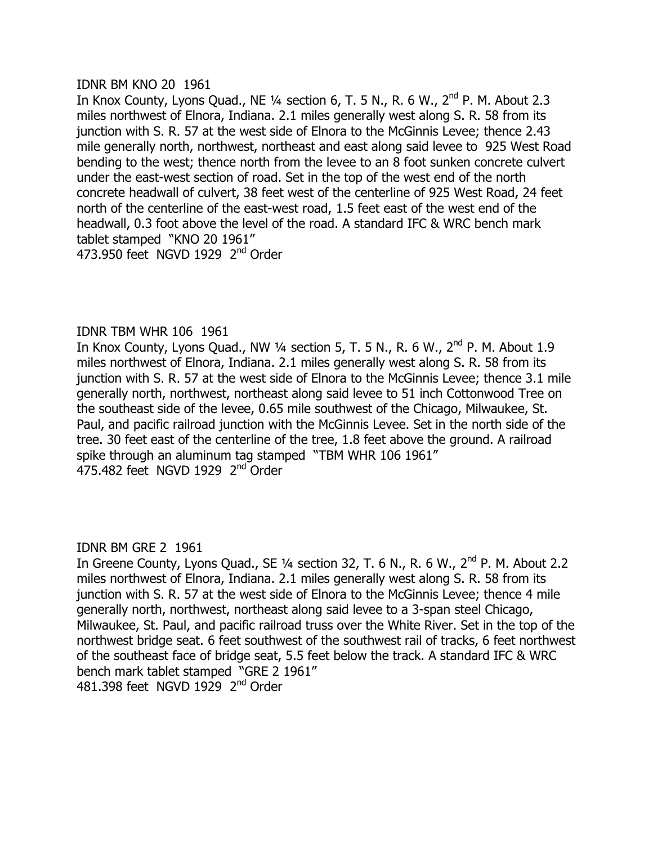#### IDNR BM KNO 20 1961

In Knox County, Lyons Quad., NE  $\frac{1}{4}$  section 6, T. 5 N., R. 6 W.,  $2^{nd}$  P. M. About 2.3 miles northwest of Elnora, Indiana. 2.1 miles generally west along S. R. 58 from its  $\mu$  iunction with S, R, 57 at the west side of Elnora to the McGinnis Levee; thence 2.43 mile generally north, northwest, northeast and east along said levee to 925 West Road bending to the west; thence north from the levee to an 8 foot sunken concrete culvert under the east-west section of road. Set in the top of the west end of the north concrete headwall of culvert, 38 feet west of the centerline of 925 West Road, 24 feet north of the centerline of the east-west road, 1.5 feet east of the west end of the headwall, 0.3 foot above the level of the road. A standard IFC & WRC bench mark tablet stamped "KNO 20 1961" 473.950 feet NGVD 1929 2<sup>nd</sup> Order

# IDNR TBM WHR 106 1961

In Knox County, Lyons Quad., NW  $\frac{1}{4}$  section 5, T. 5 N., R. 6 W.,  $2^{nd}$  P. M. About 1.9 miles northwest of Elnora, Indiana. 2.1 miles generally west along S. R. 58 from its junction with S. R. 57 at the west side of Elnora to the McGinnis Levee; thence 3.1 mile generally north, northwest, northeast along said levee to 51 inch Cottonwood Tree on the southeast side of the levee, 0.65 mile southwest of the Chicago, Milwaukee, St. Paul, and pacific railroad junction with the McGinnis Levee. Set in the north side of the tree. 30 feet east of the centerline of the tree, 1.8 feet above the ground. A railroad spike through an aluminum tag stamped "TBM WHR 106 1961" 475.482 feet NGVD 1929 2<sup>nd</sup> Order

# IDNR BM GRE 2 1961

In Greene County, Lyons Quad., SE 1/4 section 32, T. 6 N., R. 6 W.,  $2^{nd}$  P. M. About 2.2 miles northwest of Elnora, Indiana. 2.1 miles generally west along S. R. 58 from its junction with S. R. 57 at the west side of Elnora to the McGinnis Levee; thence 4 mile generally north, northwest, northeast along said levee to a 3-span steel Chicago, Milwaukee, St. Paul, and pacific railroad truss over the White River. Set in the top of the northwest bridge seat. 6 feet southwest of the southwest rail of tracks, 6 feet northwest of the southeast face of bridge seat, 5.5 feet below the track. A standard IFC & WRC bench mark tablet stamped "GRE 2 1961" 481.398 feet NGVD 1929  $2<sup>nd</sup>$  Order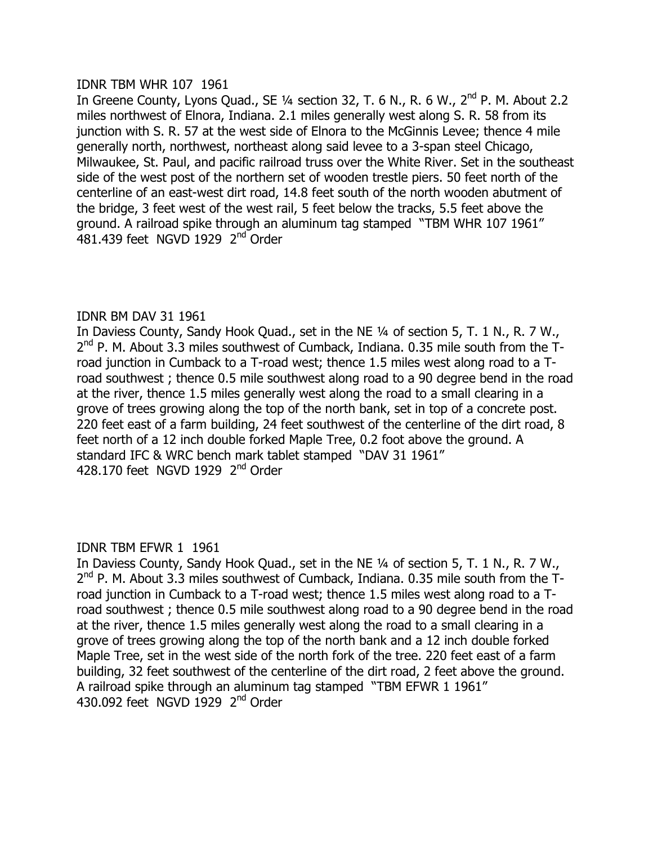#### IDNR TBM WHR 107 1961

In Greene County, Lyons Quad., SE  $\frac{1}{4}$  section 32, T. 6 N., R. 6 W.,  $2^{nd}$  P. M. About 2.2 miles northwest of Elnora, Indiana. 2.1 miles generally west along S. R. 58 from its iunction with S, R, 57 at the west side of Elnora to the McGinnis Levee; thence 4 mile generally north, northwest, northeast along said levee to a 3-span steel Chicago, Milwaukee, St. Paul, and pacific railroad truss over the White River. Set in the southeast side of the west post of the northern set of wooden trestle piers. 50 feet north of the centerline of an east-west dirt road, 14.8 feet south of the north wooden abutment of the bridge, 3 feet west of the west rail, 5 feet below the tracks, 5.5 feet above the ground. A railroad spike through an aluminum tag stamped "TBM WHR 107 1961" 481.439 feet NGVD 1929  $2<sup>nd</sup>$  Order

# IDNR BM DAV 31 1961

In Daviess County, Sandy Hook Quad., set in the NE 1/4 of section 5, T. 1 N., R. 7 W.,  $2<sup>nd</sup>$  P. M. About 3.3 miles southwest of Cumback, Indiana. 0.35 mile south from the Troad junction in Cumback to a T-road west; thence 1.5 miles west along road to a Troad southwest; thence 0.5 mile southwest along road to a 90 degree bend in the road at the river, thence 1.5 miles generally west along the road to a small clearing in a grove of trees growing along the top of the north bank, set in top of a concrete post. 220 feet east of a farm building, 24 feet southwest of the centerline of the dirt road, 8 feet north of a 12 inch double forked Maple Tree, 0.2 foot above the ground. A standard IFC & WRC bench mark tablet stamped "DAV 31 1961" 428.170 feet NGVD 1929 2<sup>nd</sup> Order

# **IDNR TBM EFWR 1 1961**

In Daviess County, Sandy Hook Quad., set in the NE  $\frac{1}{4}$  of section 5, T. 1 N., R. 7 W.,  $2^{nd}$  P. M. About 3.3 miles southwest of Cumback, Indiana. 0.35 mile south from the Troad junction in Cumback to a T-road west; thence 1.5 miles west along road to a Troad southwest; thence 0.5 mile southwest along road to a 90 degree bend in the road at the river, thence 1.5 miles generally west along the road to a small clearing in a grove of trees growing along the top of the north bank and a 12 inch double forked Maple Tree, set in the west side of the north fork of the tree. 220 feet east of a farm building, 32 feet southwest of the centerline of the dirt road, 2 feet above the ground. A railroad spike through an aluminum tag stamped "TBM EFWR 1 1961" 430.092 feet NGVD 1929  $2<sup>nd</sup>$  Order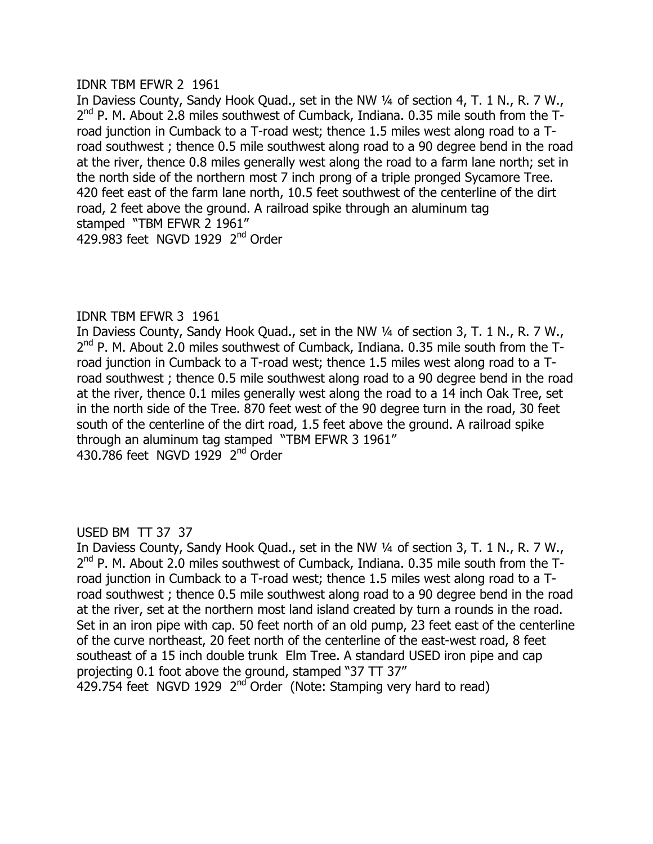#### **IDNR TBM EFWR 2 1961**

In Daviess County, Sandy Hook Quad., set in the NW 1/4 of section 4, T. 1 N., R. 7 W.,  $2<sup>nd</sup>$  P. M. About 2.8 miles southwest of Cumback, Indiana. 0.35 mile south from the Troad junction in Cumback to a T-road west; thence 1.5 miles west along road to a Troad southwest; thence 0.5 mile southwest along road to a 90 degree bend in the road at the river, thence 0.8 miles generally west along the road to a farm lane north; set in the north side of the northern most 7 inch prong of a triple pronged Sycamore Tree. 420 feet east of the farm lane north, 10.5 feet southwest of the centerline of the dirt road, 2 feet above the ground. A railroad spike through an aluminum tag stamped "TBM EFWR 2 1961" 429.983 feet NGVD 1929  $2<sup>nd</sup>$  Order

# **IDNR TBM EFWR 3 1961**

In Daviess County, Sandy Hook Quad., set in the NW 1/4 of section 3, T. 1 N., R. 7 W.,  $2<sup>nd</sup>$  P. M. About 2.0 miles southwest of Cumback, Indiana. 0.35 mile south from the Troad junction in Cumback to a T-road west; thence 1.5 miles west along road to a Troad southwest; thence 0.5 mile southwest along road to a 90 degree bend in the road at the river, thence 0.1 miles generally west along the road to a 14 inch Oak Tree, set in the north side of the Tree. 870 feet west of the 90 degree turn in the road, 30 feet south of the centerline of the dirt road, 1.5 feet above the ground. A railroad spike through an aluminum tag stamped "TBM EFWR 3 1961"  $430.786$  feet NGVD 1929  $2<sup>nd</sup>$  Order

USED BM TT 37 37

In Daviess County, Sandy Hook Quad., set in the NW 1/4 of section 3, T. 1 N., R. 7 W.,  $2<sup>nd</sup>$  P. M. About 2.0 miles southwest of Cumback, Indiana. 0.35 mile south from the Troad junction in Cumback to a T-road west; thence 1.5 miles west along road to a Troad southwest; thence 0.5 mile southwest along road to a 90 degree bend in the road at the river, set at the northern most land island created by turn a rounds in the road. Set in an iron pipe with cap. 50 feet north of an old pump, 23 feet east of the centerline of the curve northeast, 20 feet north of the centerline of the east-west road, 8 feet southeast of a 15 inch double trunk Elm Tree. A standard USED iron pipe and cap projecting 0.1 foot above the ground, stamped "37 TT 37"  $\overline{R}$  429.754 feet NGVD 1929 2<sup>nd</sup> Order (Note: Stamping very hard to read)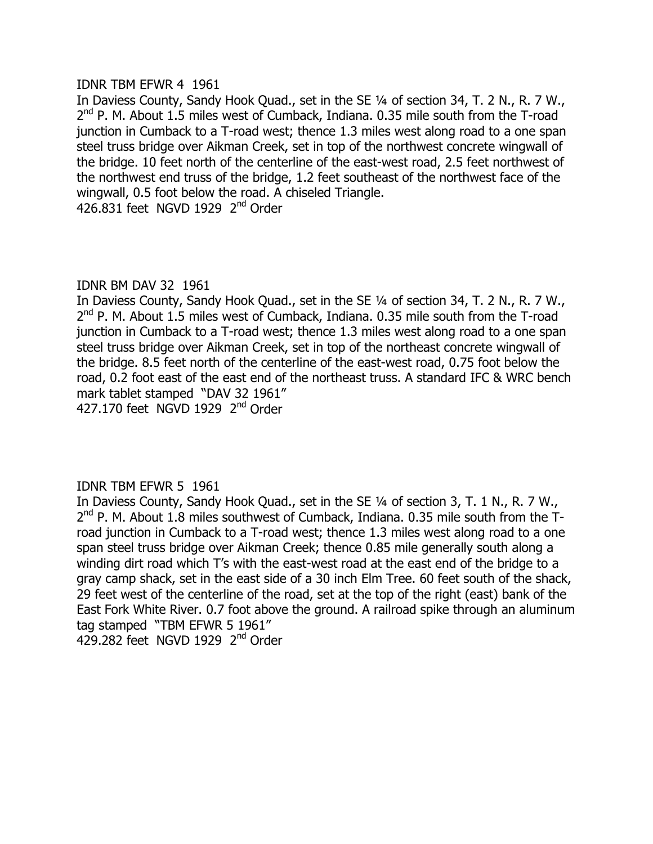#### **IDNR TBM EFWR 4 1961**

In Daviess County, Sandy Hook Quad., set in the SE 1/4 of section 34, T. 2 N., R. 7 W.,  $2<sup>nd</sup>$  P. M. About 1.5 miles west of Cumback, Indiana. 0.35 mile south from the T-road iunction in Cumback to a T-road west; thence 1.3 miles west along road to a one span steel truss bridge over Aikman Creek, set in top of the northwest concrete wingwall of the bridge. 10 feet north of the centerline of the east-west road, 2.5 feet northwest of the northwest end truss of the bridge, 1.2 feet southeast of the northwest face of the wingwall, 0.5 foot below the road. A chiseled Triangle. 426,831 feet NGVD 1929  $2<sup>nd</sup>$  Order

# IDNR BM DAV 32 1961

In Daviess County, Sandy Hook Quad., set in the SE 1/4 of section 34, T. 2 N., R. 7 W.,  $2<sup>nd</sup>$  P. M. About 1.5 miles west of Cumback, Indiana. 0.35 mile south from the T-road junction in Cumback to a T-road west; thence 1.3 miles west along road to a one span steel truss bridge over Aikman Creek, set in top of the northeast concrete wingwall of the bridge. 8.5 feet north of the centerline of the east-west road, 0.75 foot below the road, 0.2 foot east of the east end of the northeast truss. A standard IFC & WRC bench mark tablet stamped "DAV 32 1961"  $427.170$  feet NGVD 1929  $2<sup>nd</sup>$  Order

# **IDNR TBM EFWR 5 1961**

In Daviess County, Sandy Hook Quad., set in the SE 1/4 of section 3, T. 1 N., R. 7 W.,  $2<sup>nd</sup>$  P. M. About 1.8 miles southwest of Cumback, Indiana. 0.35 mile south from the Troad junction in Cumback to a T-road west; thence 1.3 miles west along road to a one span steel truss bridge over Aikman Creek; thence 0.85 mile generally south along a winding dirt road which T's with the east-west road at the east end of the bridge to a gray camp shack, set in the east side of a 30 inch Elm Tree. 60 feet south of the shack, 29 feet west of the centerline of the road, set at the top of the right (east) bank of the East Fork White River. 0.7 foot above the ground. A railroad spike through an aluminum tag stamped "TBM EFWR 5 1961" 429.282 feet NGVD 1929  $2<sup>nd</sup>$  Order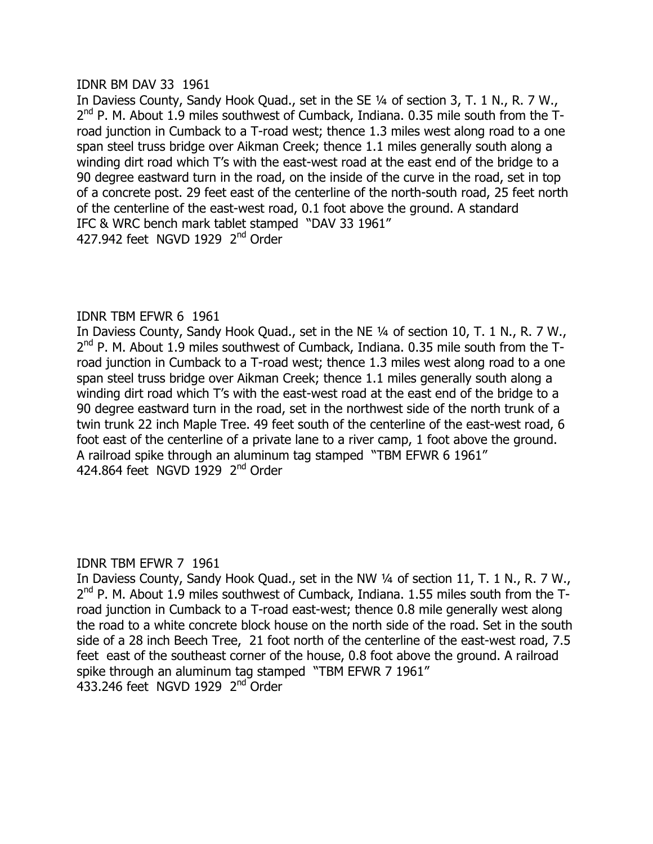#### IDNR BM DAV 33 1961

In Daviess County, Sandy Hook Quad., set in the SE 1/4 of section 3, T. 1 N., R. 7 W., 2<sup>nd</sup> P. M. About 1.9 miles southwest of Cumback, Indiana. 0.35 mile south from the Troad iunction in Cumback to a T-road west; thence 1.3 miles west along road to a one span steel truss bridge over Aikman Creek; thence 1.1 miles generally south along a winding dirt road which T's with the east-west road at the east end of the bridge to a 90 degree eastward turn in the road, on the inside of the curve in the road, set in top of a concrete post. 29 feet east of the centerline of the north-south road, 25 feet north of the centerline of the east-west road, 0.1 foot above the ground. A standard IFC & WRC bench mark tablet stamped "DAV 33 1961" 427.942 feet NGVD 1929  $2<sup>nd</sup>$  Order

# **IDNR TBM EFWR 6 1961**

In Daviess County, Sandy Hook Quad., set in the NE 1/4 of section 10, T. 1 N., R. 7 W.,  $2<sup>nd</sup>$  P. M. About 1.9 miles southwest of Cumback, Indiana. 0.35 mile south from the Troad junction in Cumback to a T-road west; thence 1.3 miles west along road to a one span steel truss bridge over Aikman Creek; thence 1.1 miles generally south along a winding dirt road which T's with the east-west road at the east end of the bridge to a 90 degree eastward turn in the road, set in the northwest side of the north trunk of a twin trunk 22 inch Maple Tree. 49 feet south of the centerline of the east-west road, 6 foot east of the centerline of a private lane to a river camp, 1 foot above the ground. A railroad spike through an aluminum tag stamped "TBM EFWR 6 1961" 424.864 feet NGVD  $1929$  2<sup>nd</sup> Order

# **IDNR TBM EFWR 7 1961**

In Daviess County, Sandy Hook Quad., set in the NW 1/4 of section 11, T. 1 N., R. 7 W.,  $2<sup>nd</sup>$  P. M. About 1.9 miles southwest of Cumback, Indiana. 1.55 miles south from the Troad junction in Cumback to a T-road east-west; thence 0.8 mile generally west along the road to a white concrete block house on the north side of the road. Set in the south side of a 28 inch Beech Tree, 21 foot north of the centerline of the east-west road, 7.5 feet east of the southeast corner of the house, 0.8 foot above the ground. A railroad spike through an aluminum tag stamped "TBM EFWR 7 1961"  $433.246$  feet NGVD 1929  $2<sup>nd</sup>$  Order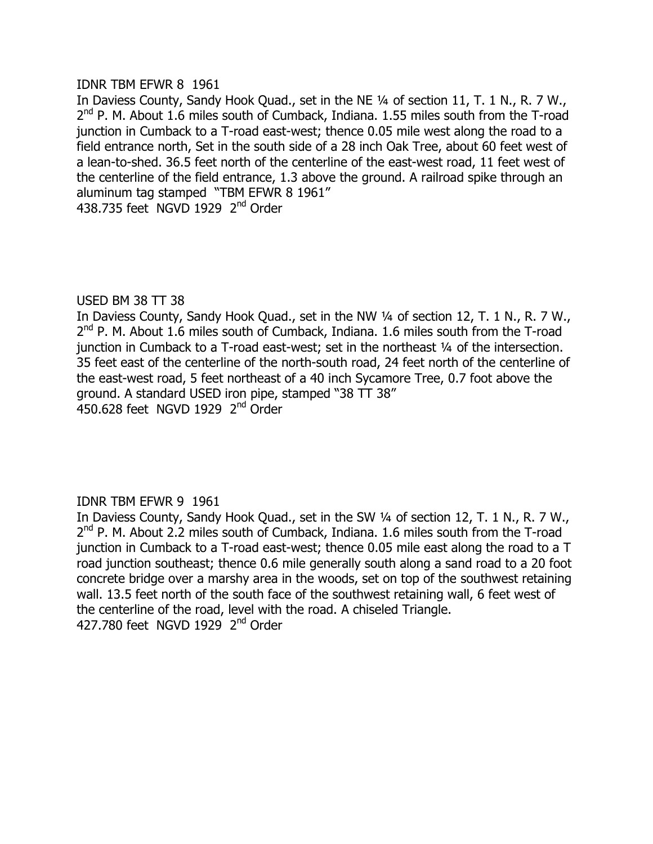#### **IDNR TBM EFWR 8 1961**

In Daviess County, Sandy Hook Quad., set in the NE 1/4 of section 11, T. 1 N., R. 7 W.,  $2<sup>nd</sup>$  P. M. About 1.6 miles south of Cumback, Indiana. 1.55 miles south from the T-road iunction in Cumback to a T-road east-west; thence 0.05 mile west along the road to a field entrance north, Set in the south side of a 28 inch Oak Tree, about 60 feet west of a lean-to-shed. 36.5 feet north of the centerline of the east-west road, 11 feet west of the centerline of the field entrance, 1.3 above the ground. A railroad spike through an aluminum tag stamped "TBM EFWR 8 1961" 438.735 feet NGVD 1929  $2<sup>nd</sup>$  Order

#### USED BM 38 TT 38

In Daviess County, Sandy Hook Quad., set in the NW 1/4 of section 12, T. 1 N., R. 7 W.,  $2<sup>nd</sup>$  P. M. About 1.6 miles south of Cumback, Indiana. 1.6 miles south from the T-road junction in Cumback to a T-road east-west; set in the northeast  $\frac{1}{4}$  of the intersection. 35 feet east of the centerline of the north-south road, 24 feet north of the centerline of the east-west road, 5 feet northeast of a 40 inch Sycamore Tree, 0.7 foot above the ground. A standard USED iron pipe, stamped "38 TT 38"  $\overline{4}50.628$  feet NGVD 1929  $2<sup>nd</sup>$  Order

# **IDNR TBM EFWR 9 1961**

In Daviess County, Sandy Hook Quad., set in the SW 1/4 of section 12, T. 1 N., R. 7 W., 2<sup>nd</sup> P. M. About 2.2 miles south of Cumback, Indiana. 1.6 miles south from the T-road  $\mu$  junction in Cumback to a T-road east-west; thence 0.05 mile east along the road to a T road junction southeast; thence 0.6 mile generally south along a sand road to a 20 foot concrete bridge over a marshy area in the woods, set on top of the southwest retaining wall, 13.5 feet north of the south face of the southwest retaining wall, 6 feet west of the centerline of the road, level with the road. A chiseled Triangle.  $427.780$  feet NGVD 1929  $2<sup>nd</sup>$  Order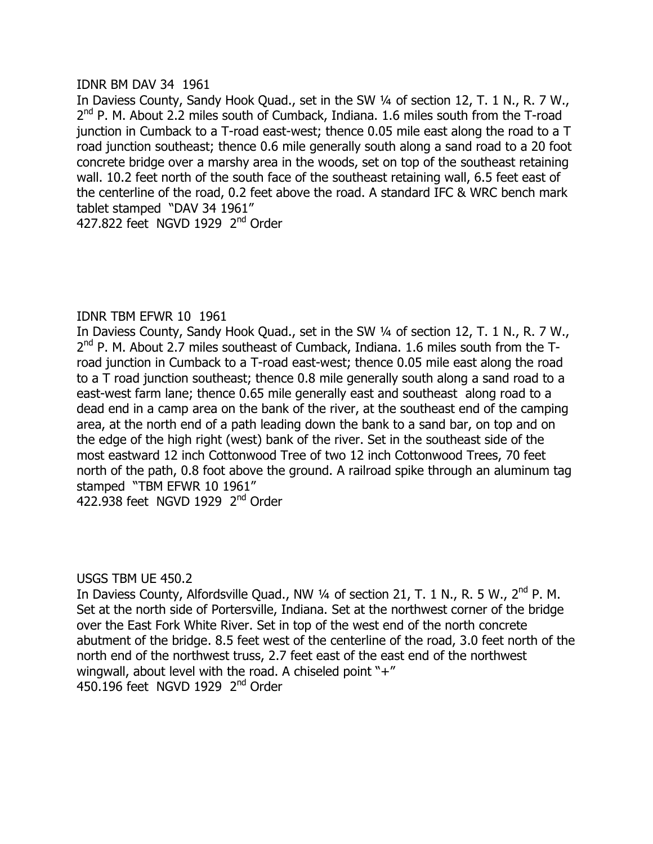#### IDNR BM DAV 34 1961

In Daviess County, Sandy Hook Quad., set in the SW 1/4 of section 12, T. 1 N., R. 7 W.,  $2<sup>nd</sup>$  P. M. About 2.2 miles south of Cumback, Indiana. 1.6 miles south from the T-road iunction in Cumback to a T-road east-west; thence 0.05 mile east along the road to a T road junction southeast; thence 0.6 mile generally south along a sand road to a 20 foot concrete bridge over a marshy area in the woods, set on top of the southeast retaining wall. 10.2 feet north of the south face of the southeast retaining wall, 6.5 feet east of the centerline of the road, 0.2 feet above the road. A standard IFC & WRC bench mark tablet stamped "DAV 34 1961"

427.822 feet NGVD 1929 2<sup>nd</sup> Order

# IDNR TBM EFWR 10 1961

In Daviess County, Sandy Hook Quad., set in the SW 1/4 of section 12, T. 1 N., R. 7 W.,  $2<sup>nd</sup>$  P. M. About 2.7 miles southeast of Cumback, Indiana. 1.6 miles south from the Troad junction in Cumback to a T-road east-west; thence 0.05 mile east along the road to a  $\overline{T}$  road junction southeast; thence 0.8 mile generally south along a sand road to a east-west farm lane; thence 0.65 mile generally east and southeast along road to a dead end in a camp area on the bank of the river, at the southeast end of the camping area, at the north end of a path leading down the bank to a sand bar, on top and on the edge of the high right (west) bank of the river. Set in the southeast side of the most eastward 12 inch Cottonwood Tree of two 12 inch Cottonwood Trees, 70 feet north of the path, 0.8 foot above the ground. A railroad spike through an aluminum tag stamped "TBM EFWR 10 1961" 422.938 feet NGVD 1929  $2<sup>nd</sup>$  Order

# USGS TBM UE 450.2

In Daviess County, Alfordsville Quad., NW  $\frac{1}{4}$  of section 21, T. 1 N., R. 5 W.,  $2^{nd}$  P. M. Set at the north side of Portersville, Indiana. Set at the northwest corner of the bridge over the East Fork White River. Set in top of the west end of the north concrete abutment of the bridge. 8.5 feet west of the centerline of the road, 3.0 feet north of the north end of the northwest truss, 2.7 feet east of the east end of the northwest wingwall, about level with the road. A chiseled point " $+$ " 450.196 feet NGVD 1929  $2<sup>nd</sup>$  Order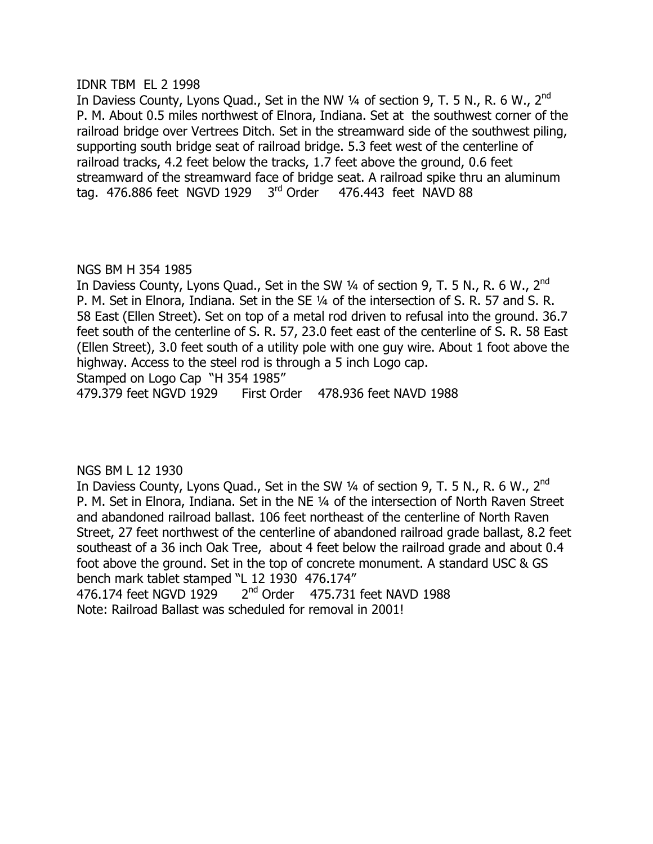#### **IDNR TBM EL 2 1998**

In Daviess County, Lyons Quad., Set in the NW 1/4 of section 9, T. 5 N., R. 6 W., 2<sup>nd</sup> 1. About 0.5 miles northwest of Elnora, Indiana. Set at the southwest corner of the railroad bridge over Vertrees Ditch. Set in the streamward side of the southwest piling, supporting south bridge seat of railroad bridge. 5.3 feet west of the centerline of railroad tracks, 4.2 feet below the tracks, 1.7 feet above the ground, 0.6 feet streamward of the streamward face of bridge seat. A railroad spike thru an aluminum tag. 476.886 feet NGVD 1929  $3<sup>rd</sup>$  Order 476.443 feet NAVD 88

# NGS BM H 354 1985

In Daviess County, Lyons Quad., Set in the SW  $\frac{1}{4}$  of section 9, T. 5 N., R. 6 W., 2<sup>nd</sup> 1. P. M. Set in Elnora, Indiana. Set in the SE 1/4 of the intersection of S. R. 57 and S. R. 58 East (Ellen Street). Set on top of a metal rod driven to refusal into the ground. 36.7 feet south of the centerline of S. R. 57, 23.0 feet east of the centerline of S. R. 58 East  $\Delta$  (Ellen Street), 3.0 feet south of a utility pole with one guy wire. About 1 foot above the highway. Access to the steel rod is through a 5 inch Logo cap.

Stamped on Logo Cap "H 354 1985"

479.379 feet NGVD 1929 First Order 478.936 feet NAVD 1988

# NGS BM L 12 1930

In Daviess County, Lyons Quad., Set in the SW  $\frac{1}{4}$  of section 9, T. 5 N., R. 6 W.,  $2^{nd}$ 1. P. M. Set in Elnora, Indiana. Set in the NE 1/4 of the intersection of North Raven Street and abandoned railroad ballast. 106 feet northeast of the centerline of North Raven Street, 27 feet northwest of the centerline of abandoned railroad grade ballast, 8.2 feet southeast of a 36 inch Oak Tree, about 4 feet below the railroad grade and about 0.4 foot above the ground. Set in the top of concrete monument. A standard USC & GS bench mark tablet stamped "L 12 1930 476.174" 476.174 feet NGVD 1929  $2<sup>nd</sup>$  Order 475.731 feet NAVD 1988

Note: Railroad Ballast was scheduled for removal in 2001!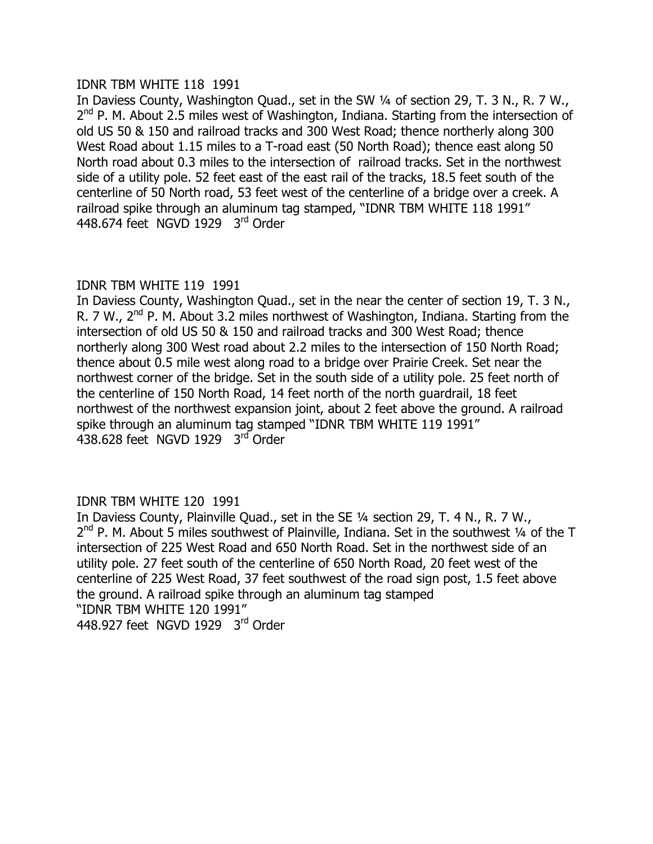#### IDNR TBM WHITE 118 1991

In Daviess County, Washington Quad., set in the SW 1/4 of section 29, T. 3 N., R. 7 W.,  $2<sup>nd</sup>$  P. M. About 2.5 miles west of Washington, Indiana. Starting from the intersection of old US 50 & 150 and railroad tracks and 300 West Road; thence northerly along 300 West Road about 1.15 miles to a T-road east (50 North Road); thence east along 50 North road about 0.3 miles to the intersection of railroad tracks. Set in the northwest side of a utility pole. 52 feet east of the east rail of the tracks, 18.5 feet south of the centerline of 50 North road, 53 feet west of the centerline of a bridge over a creek. A railroad spike through an aluminum tag stamped, "IDNR TBM WHITE 118 1991" 448.674 feet NGVD 1929 3rd Order

# IDNR TBM WHITE 119 1991

In Daviess County, Washington Quad., set in the near the center of section 19, T. 3 N., R. 7 W.,  $2^{nd}$  P. M. About 3.2 miles northwest of Washington, Indiana. Starting from the intersection of old US 50 & 150 and railroad tracks and 300 West Road; thence northerly along 300 West road about 2.2 miles to the intersection of 150 North Road; thence about 0.5 mile west along road to a bridge over Prairie Creek. Set near the northwest corner of the bridge. Set in the south side of a utility pole. 25 feet north of the centerline of 150 North Road, 14 feet north of the north quardrail, 18 feet northwest of the northwest expansion joint, about 2 feet above the ground. A railroad spike through an aluminum tag stamped "IDNR TBM WHITE 119 1991" 438.628 feet NGVD 1929 3rd Order

# **IDNR TBM WHITE 120 1991**

In Daviess County, Plainville Quad., set in the SE 1/4 section 29, T. 4 N., R. 7 W.,  $2<sup>nd</sup>$  P. M. About 5 miles southwest of Plainville, Indiana. Set in the southwest 1/4 of the T intersection of 225 West Road and 650 North Road. Set in the northwest side of an utility pole. 27 feet south of the centerline of 650 North Road, 20 feet west of the centerline of 225 West Road, 37 feet southwest of the road sign post, 1.5 feet above the ground. A railroad spike through an aluminum tag stamped "IDNR TBM WHITE 120 1991" 448.927 feet NGVD 1929  $3<sup>rd</sup>$  Order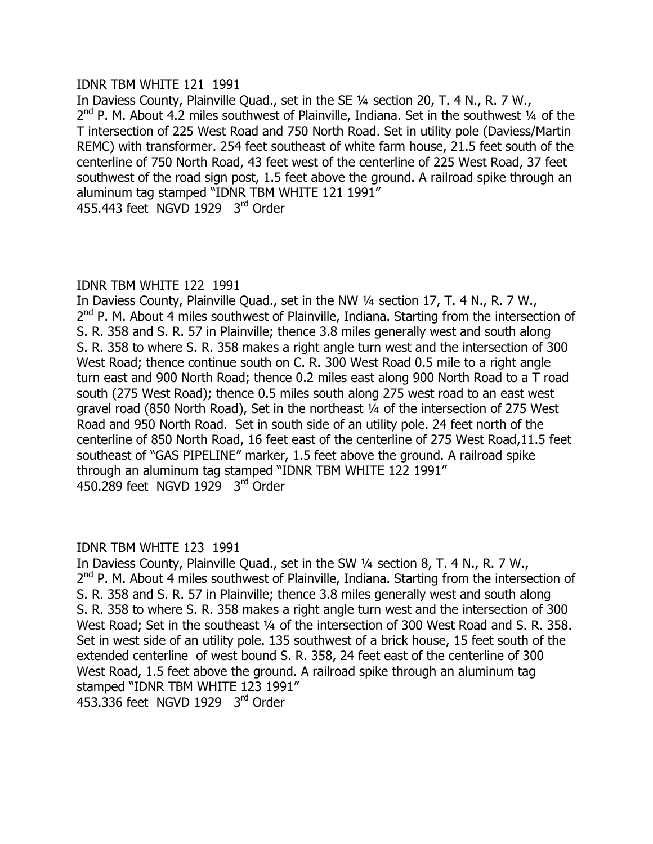#### **IDNR TBM WHITE 121 1991**

In Daviess County, Plainville Ouad., set in the SE  $\frac{1}{4}$  section 20, T, 4 N, R, 7 W,  $2<sup>nd</sup>$  P. M. About 4.2 miles southwest of Plainville, Indiana. Set in the southwest 1/4 of the T intersection of 225 West Road and 750 North Road. Set in utility pole (Daviess/Martin) REMC) with transformer. 254 feet southeast of white farm house, 21.5 feet south of the centerline of 750 North Road, 43 feet west of the centerline of 225 West Road, 37 feet southwest of the road sign post, 1.5 feet above the ground. A railroad spike through an aluminum tag stamped "IDNR TBM WHITE 121 1991" 455.443 feet NGVD 1929  $3<sup>rd</sup>$  Order

# **IDNR TBM WHITE 122 1991**

In Daviess County, Plainville Quad., set in the NW 1/4 section 17, T. 4 N., R. 7 W., 2<sup>nd</sup> P. M. About 4 miles southwest of Plainville, Indiana. Starting from the intersection of S. R. 358 and S. R. 57 in Plainville; thence 3.8 miles generally west and south along S. R. 358 to where S. R. 358 makes a right angle turn west and the intersection of 300 West Road; thence continue south on C. R. 300 West Road 0.5 mile to a right angle turn east and 900 North Road; thence 0.2 miles east along 900 North Road to a T road south (275 West Road); thence 0.5 miles south along 275 west road to an east west gravel road (850 North Road), Set in the northeast  $\frac{1}{4}$  of the intersection of 275 West Road and 950 North Road. Set in south side of an utility pole. 24 feet north of the centerline of 850 North Road, 16 feet east of the centerline of 275 West Road, 11.5 feet southeast of "GAS PIPELINE" marker, 1.5 feet above the ground. A railroad spike through an aluminum tag stamped "IDNR TBM WHITE 122 1991" 450.289 feet NGVD 1929  $3<sup>rd</sup>$  Order

# **IDNR TBM WHITE 123 1991**

In Daviess County, Plainville Quad., set in the SW 1/4 section 8, T. 4 N., R. 7 W.,  $2<sup>nd</sup>$  P. M. About 4 miles southwest of Plainville, Indiana. Starting from the intersection of S. R. 358 and S. R. 57 in Plainville; thence 3.8 miles generally west and south along S. R. 358 to where S. R. 358 makes a right angle turn west and the intersection of 300 West Road; Set in the southeast 1/4 of the intersection of 300 West Road and S. R. 358. Set in west side of an utility pole. 135 southwest of a brick house, 15 feet south of the extended centerline of west bound S. R. 358, 24 feet east of the centerline of 300 West Road, 1.5 feet above the ground. A railroad spike through an aluminum tag stamped "IDNR TBM WHITE 123 1991" 453.336 feet NGVD 1929 3rd Order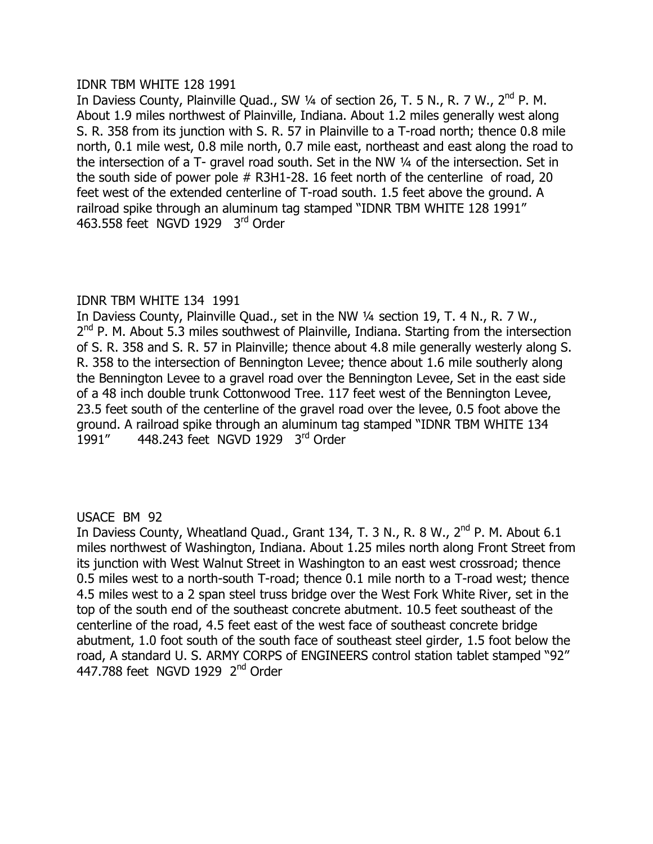#### IDNR TBM WHITE 128 1991

In Daviess County, Plainville Quad., SW  $\frac{1}{4}$  of section 26, T. 5 N., R. 7 W.,  $2^{nd}$  P. M. About 1.9 miles northwest of Plainville, Indiana. About 1.2 miles generally west along S. R. 358 from its junction with S. R. 57 in Plainville to a T-road north; thence 0.8 mile north, 0.1 mile west, 0.8 mile north, 0.7 mile east, northeast and east along the road to the intersection of a T- gravel road south. Set in the NW  $\frac{1}{4}$  of the intersection. Set in the south side of power pole  $#$  R3H1-28. 16 feet north of the centerline of road, 20 feet west of the extended centerline of T-road south. 1.5 feet above the ground. A railroad spike through an aluminum tag stamped "IDNR TBM WHITE 128 1991" 463.558 feet NGVD 1929  $3<sup>rd</sup>$  Order

# **IDNR TBM WHITE 134 1991**

In Daviess County, Plainville Quad., set in the NW 1/4 section 19, T. 4 N., R. 7 W.,  $2<sup>nd</sup>$  P. M. About 5.3 miles southwest of Plainville, Indiana. Starting from the intersection of S. R. 358 and S. R. 57 in Plainville; thence about 4.8 mile generally westerly along S. R. 358 to the intersection of Bennington Levee; thence about 1.6 mile southerly along the Bennington Levee to a gravel road over the Bennington Levee, Set in the east side of a 48 inch double trunk Cottonwood Tree, 117 feet west of the Bennington Levee, 23.5 feet south of the centerline of the gravel road over the levee, 0.5 foot above the ground. A railroad spike through an aluminum tag stamped "IDNR TBM WHITE 134 1991" 448.243 feet NGVD 1929  $3<sup>rd</sup>$  Order

# USACE BM 92

In Daviess County, Wheatland Quad., Grant 134, T. 3 N., R. 8 W., 2<sup>nd</sup> P. M. About 6.1 miles northwest of Washington, Indiana. About 1.25 miles north along Front Street from  $i$ ts junction with West Walnut Street in Washington to an east west crossroad; thence 0.5 miles west to a north-south T-road; thence 0.1 mile north to a T-road west; thence 4.5 miles west to a 2 span steel truss bridge over the West Fork White River, set in the top of the south end of the southeast concrete abutment. 10.5 feet southeast of the centerline of the road, 4.5 feet east of the west face of southeast concrete bridge abutment, 1.0 foot south of the south face of southeast steel girder, 1.5 foot below the road, A standard U. S. ARMY CORPS of ENGINEERS control station tablet stamped "92" 447.788 feet NGVD 1929 2<sup>nd</sup> Order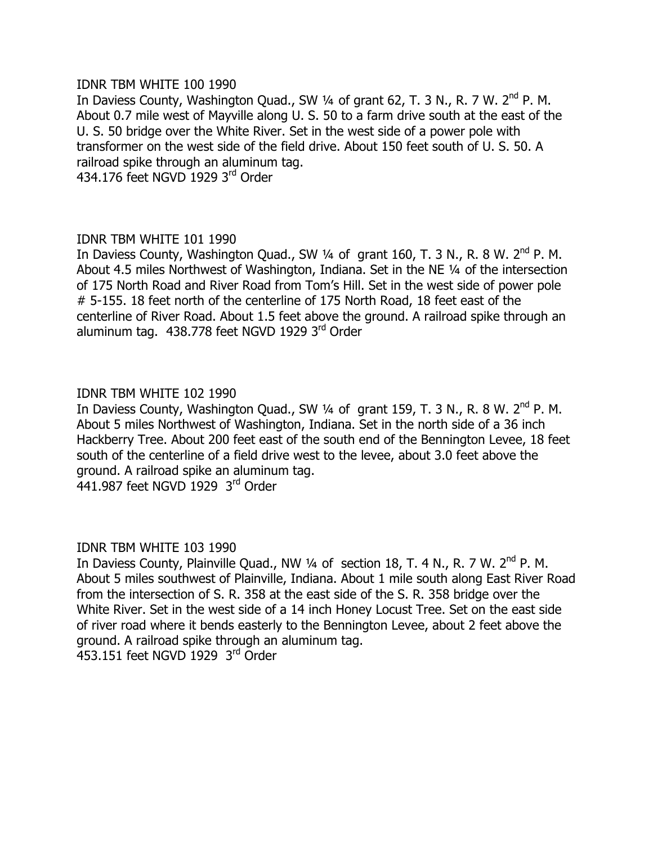#### IDNR TBM WHITE 100 1990

In Daviess County, Washington Quad., SW  $\frac{1}{4}$  of grant 62, T. 3 N., R. 7 W. 2<sup>nd</sup> P. M. About 0.7 mile west of Mayville along U. S. 50 to a farm drive south at the east of the U. S. 50 bridge over the White River. Set in the west side of a power pole with transformer on the west side of the field drive. About 150 feet south of U. S. 50. A railroad spike through an aluminum tag.

 $434.176$  feet NGVD 1929  $3<sup>rd</sup>$  Order

# **IDNR TBM WHITE 101 1990**

In Daviess County, Washington Quad., SW  $\frac{1}{4}$  of grant 160, T. 3 N., R. 8 W. 2<sup>nd</sup> P. M. About 4.5 miles Northwest of Washington, Indiana. Set in the NE 1/4 of the intersection of 175 North Road and River Road from Tom's Hill. Set in the west side of power pole  $# 5$ -155. 18 feet north of the centerline of 175 North Road, 18 feet east of the centerline of River Road. About 1.5 feet above the ground. A railroad spike through an aluminum tag. 438.778 feet NGVD 1929 3rd Order

# IDNR TBM WHITE 102 1990

In Daviess County, Washington Quad., SW  $\frac{1}{4}$  of grant 159, T. 3 N., R. 8 W. 2<sup>nd</sup> P. M. About 5 miles Northwest of Washington, Indiana. Set in the north side of a 36 inch Hackberry Tree. About 200 feet east of the south end of the Bennington Levee, 18 feet south of the centerline of a field drive west to the levee, about 3.0 feet above the ground. A railroad spike an aluminum tag. 441.987 feet NGVD 1929  $3<sup>rd</sup>$  Order

#### **IDNR TBM WHITE 103 1990**

In Daviess County, Plainville Quad., NW 1/4 of section 18, T. 4 N., R. 7 W. 2<sup>nd</sup> P. M. About 5 miles southwest of Plainville, Indiana. About 1 mile south along East River Road from the intersection of S. R. 358 at the east side of the S. R. 358 bridge over the White River. Set in the west side of a 14 inch Honey Locust Tree. Set on the east side of river road where it bends easterly to the Bennington Levee, about 2 feet above the around. A railroad spike through an aluminum tag.

 $453.151$  feet NGVD 1929  $3<sup>rd</sup>$  Order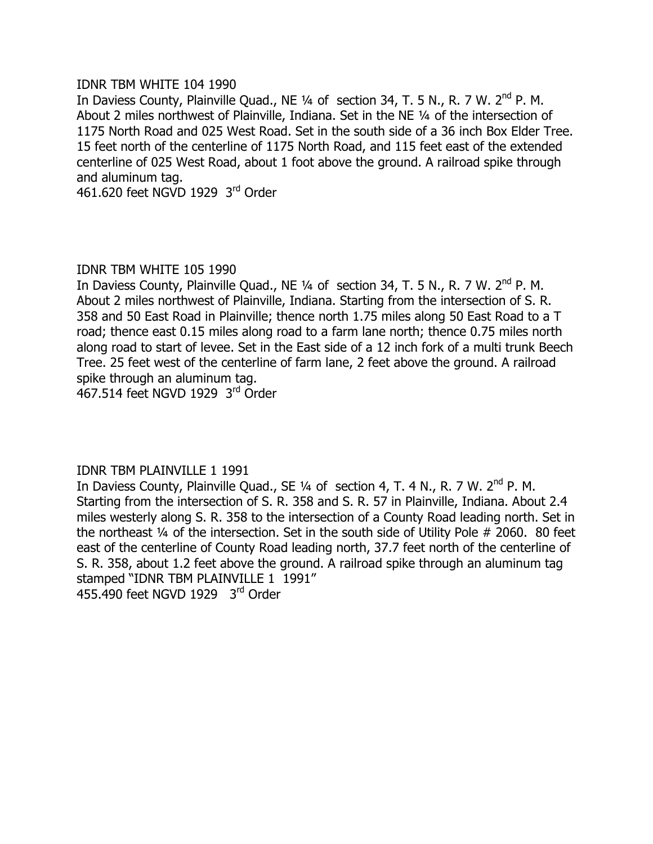#### IDNR TBM WHITE 104 1990

In Daviess County, Plainville Quad., NE  $\frac{1}{4}$  of section 34, T. 5 N., R. 7 W. 2<sup>nd</sup> P. M. About 2 miles northwest of Plainville, Indiana. Set in the NE 1/4 of the intersection of 1175 North Road and 025 West Road. Set in the south side of a 36 inch Box Elder Tree. 15 feet north of the centerline of 1175 North Road, and 115 feet east of the extended centerline of 025 West Road, about 1 foot above the ground. A railroad spike through and aluminum tag.

461.620 feet NGVD 1929 3rd Order

# IDNR TBM WHITE 105 1990

In Daviess County, Plainville Quad., NE  $\frac{1}{4}$  of section 34, T. 5 N., R. 7 W. 2<sup>nd</sup> P. M. About 2 miles northwest of Plainville, Indiana. Starting from the intersection of S. R. 358 and 50 East Road in Plainville; thence north 1.75 miles along 50 East Road to a T road; thence east 0.15 miles along road to a farm lane north; thence 0.75 miles north along road to start of levee. Set in the East side of a 12 inch fork of a multi trunk Beech Tree. 25 feet west of the centerline of farm lane, 2 feet above the ground. A railroad spike through an aluminum tag.

467.514 feet NGVD 1929  $3<sup>rd</sup>$  Order

# IDNR TBM PLAINVILLE 1 1991

In Daviess County, Plainville Quad., SE 1/4 of section 4, T. 4 N., R. 7 W. 2<sup>nd</sup> P. M. Starting from the intersection of S. R. 358 and S. R. 57 in Plainville, Indiana. About 2.4 miles westerly along S. R. 358 to the intersection of a County Road leading north. Set in the northeast  $\frac{1}{4}$  of the intersection. Set in the south side of Utility Pole # 2060. 80 feet east of the centerline of County Road leading north, 37.7 feet north of the centerline of S. R. 358, about 1.2 feet above the ground. A railroad spike through an aluminum tag stamped "IDNR TBM PLAINVILLE 1 1991"  $455.490$  feet NGVD 1929  $3<sup>rd</sup>$  Order